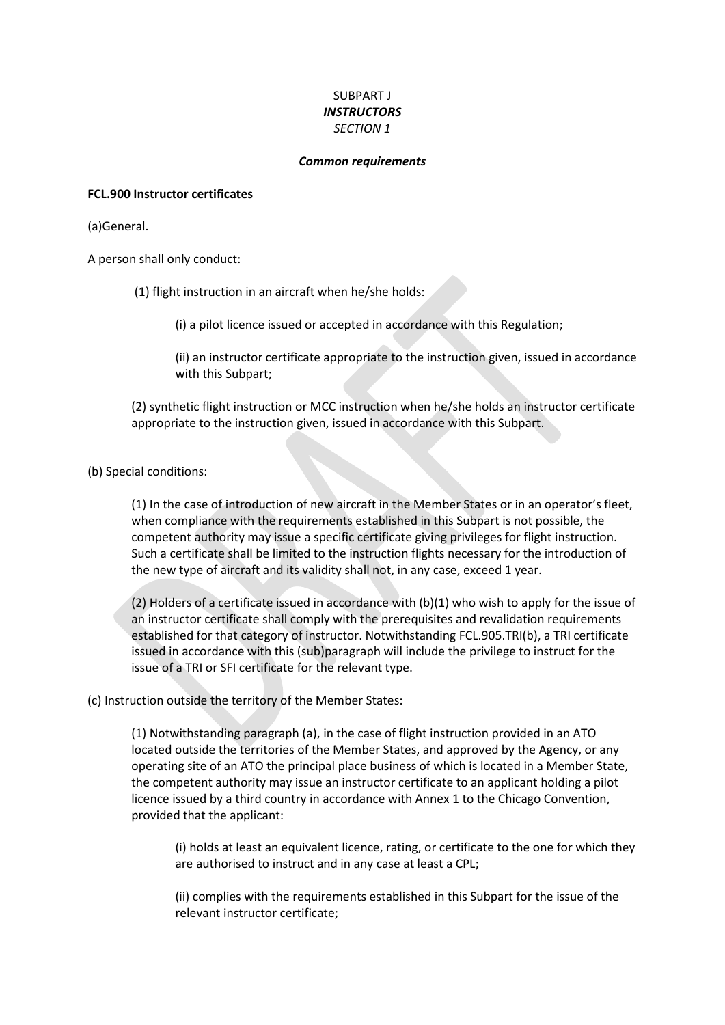# SUBPART J *INSTRUCTORS SECTION 1*

#### *Common requirements*

#### **FCL.900 Instructor certificates**

(a)General.

A person shall only conduct:

(1) flight instruction in an aircraft when he/she holds:

(i) a pilot licence issued or accepted in accordance with this Regulation;

(ii) an instructor certificate appropriate to the instruction given, issued in accordance with this Subpart;

(2) synthetic flight instruction or MCC instruction when he/she holds an instructor certificate appropriate to the instruction given, issued in accordance with this Subpart.

(b) Special conditions:

(1) In the case of introduction of new aircraft in the Member States or in an operator's fleet, when compliance with the requirements established in this Subpart is not possible, the competent authority may issue a specific certificate giving privileges for flight instruction. Such a certificate shall be limited to the instruction flights necessary for the introduction of the new type of aircraft and its validity shall not, in any case, exceed 1 year.

(2) Holders of a certificate issued in accordance with (b)(1) who wish to apply for the issue of an instructor certificate shall comply with the prerequisites and revalidation requirements established for that category of instructor. Notwithstanding FCL.905.TRI(b), a TRI certificate issued in accordance with this (sub)paragraph will include the privilege to instruct for the issue of a TRI or SFI certificate for the relevant type.

### (c) Instruction outside the territory of the Member States:

(1) Notwithstanding paragraph (a), in the case of flight instruction provided in an ATO located outside the territories of the Member States, and approved by the Agency, or any operating site of an ATO the principal place business of which is located in a Member State, the competent authority may issue an instructor certificate to an applicant holding a pilot licence issued by a third country in accordance with Annex 1 to the Chicago Convention, provided that the applicant:

(i) holds at least an equivalent licence, rating, or certificate to the one for which they are authorised to instruct and in any case at least a CPL;

(ii) complies with the requirements established in this Subpart for the issue of the relevant instructor certificate;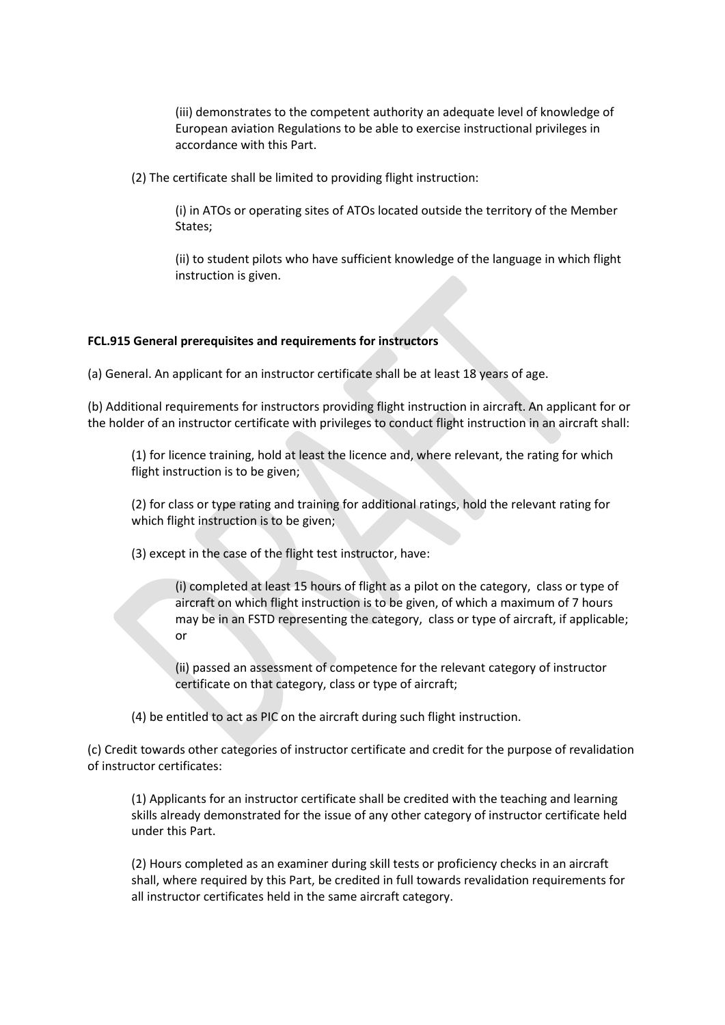(iii) demonstrates to the competent authority an adequate level of knowledge of European aviation Regulations to be able to exercise instructional privileges in accordance with this Part.

(2) The certificate shall be limited to providing flight instruction:

(i) in ATOs or operating sites of ATOs located outside the territory of the Member States;

(ii) to student pilots who have sufficient knowledge of the language in which flight instruction is given.

# **FCL.915 General prerequisites and requirements for instructors**

(a) General. An applicant for an instructor certificate shall be at least 18 years of age.

(b) Additional requirements for instructors providing flight instruction in aircraft. An applicant for or the holder of an instructor certificate with privileges to conduct flight instruction in an aircraft shall:

(1) for licence training, hold at least the licence and, where relevant, the rating for which flight instruction is to be given;

(2) for class or type rating and training for additional ratings, hold the relevant rating for which flight instruction is to be given;

(3) except in the case of the flight test instructor, have:

(i) completed at least 15 hours of flight as a pilot on the category, class or type of aircraft on which flight instruction is to be given, of which a maximum of 7 hours may be in an FSTD representing the category, class or type of aircraft, if applicable; or

(ii) passed an assessment of competence for the relevant category of instructor certificate on that category, class or type of aircraft;

(4) be entitled to act as PIC on the aircraft during such flight instruction.

(c) Credit towards other categories of instructor certificate and credit for the purpose of revalidation of instructor certificates:

(1) Applicants for an instructor certificate shall be credited with the teaching and learning skills already demonstrated for the issue of any other category of instructor certificate held under this Part.

(2) Hours completed as an examiner during skill tests or proficiency checks in an aircraft shall, where required by this Part, be credited in full towards revalidation requirements for all instructor certificates held in the same aircraft category.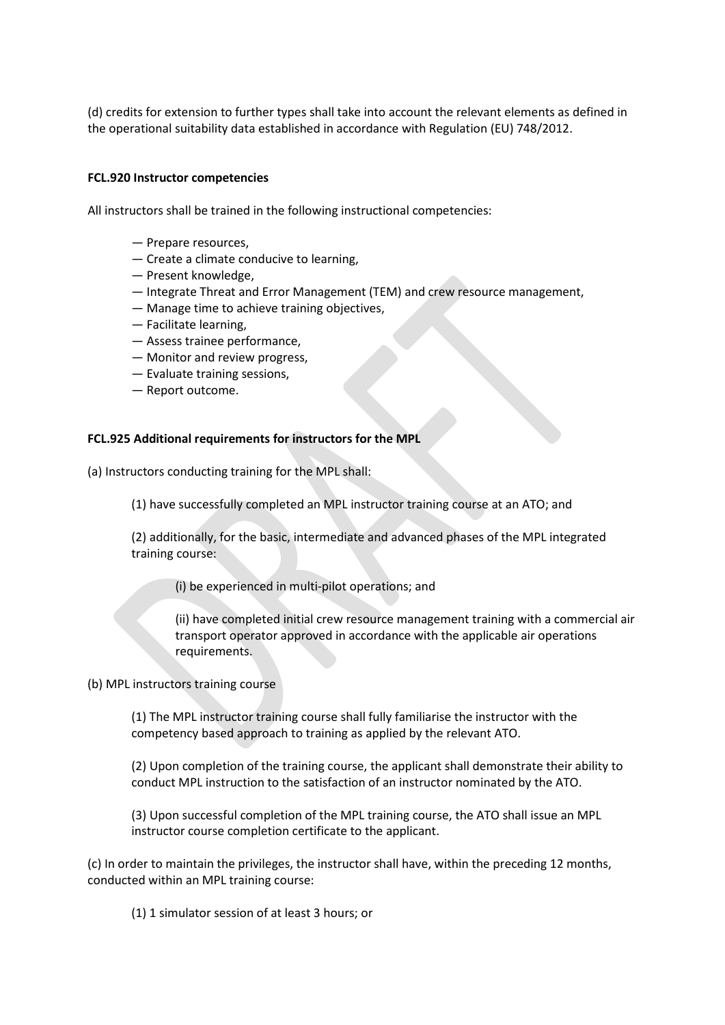(d) credits for extension to further types shall take into account the relevant elements as defined in the operational suitability data established in accordance with Regulation (EU) 748/2012.

#### **FCL.920 Instructor competencies**

All instructors shall be trained in the following instructional competencies:

- Prepare resources,
- Create a climate conducive to learning,
- Present knowledge,
- Integrate Threat and Error Management (TEM) and crew resource management,
- Manage time to achieve training objectives,
- Facilitate learning,
- Assess trainee performance,
- Monitor and review progress,
- Evaluate training sessions,
- Report outcome.

#### **FCL.925 Additional requirements for instructors for the MPL**

(a) Instructors conducting training for the MPL shall:

(1) have successfully completed an MPL instructor training course at an ATO; and

(2) additionally, for the basic, intermediate and advanced phases of the MPL integrated training course:

(i) be experienced in multi-pilot operations; and

(ii) have completed initial crew resource management training with a commercial air transport operator approved in accordance with the applicable air operations requirements.

(b) MPL instructors training course

(1) The MPL instructor training course shall fully familiarise the instructor with the competency based approach to training as applied by the relevant ATO.

(2) Upon completion of the training course, the applicant shall demonstrate their ability to conduct MPL instruction to the satisfaction of an instructor nominated by the ATO.

(3) Upon successful completion of the MPL training course, the ATO shall issue an MPL instructor course completion certificate to the applicant.

(c) In order to maintain the privileges, the instructor shall have, within the preceding 12 months, conducted within an MPL training course:

(1) 1 simulator session of at least 3 hours; or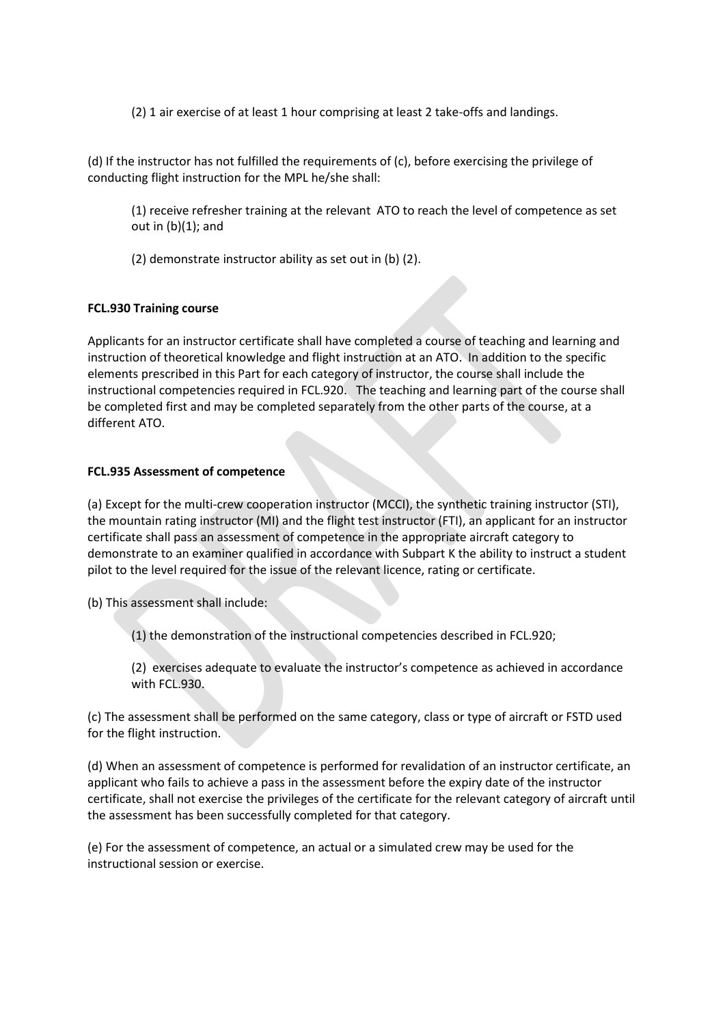(2) 1 air exercise of at least 1 hour comprising at least 2 take-offs and landings.

(d) If the instructor has not fulfilled the requirements of (c), before exercising the privilege of conducting flight instruction for the MPL he/she shall:

(1) receive refresher training at the relevant ATO to reach the level of competence as set out in (b)(1); and

(2) demonstrate instructor ability as set out in (b) (2).

# **FCL.930 Training course**

Applicants for an instructor certificate shall have completed a course of teaching and learning and instruction of theoretical knowledge and flight instruction at an ATO. In addition to the specific elements prescribed in this Part for each category of instructor, the course shall include the instructional competencies required in FCL.920. The teaching and learning part of the course shall be completed first and may be completed separately from the other parts of the course, at a different ATO.

# **FCL.935 Assessment of competence**

(a) Except for the multi-crew cooperation instructor (MCCI), the synthetic training instructor (STI), the mountain rating instructor (MI) and the flight test instructor (FTI), an applicant for an instructor certificate shall pass an assessment of competence in the appropriate aircraft category to demonstrate to an examiner qualified in accordance with Subpart K the ability to instruct a student pilot to the level required for the issue of the relevant licence, rating or certificate.

(b) This assessment shall include:

(1) the demonstration of the instructional competencies described in FCL.920;

(2) exercises adequate to evaluate the instructor's competence as achieved in accordance with FCL.930.

(c) The assessment shall be performed on the same category, class or type of aircraft or FSTD used for the flight instruction.

(d) When an assessment of competence is performed for revalidation of an instructor certificate, an applicant who fails to achieve a pass in the assessment before the expiry date of the instructor certificate, shall not exercise the privileges of the certificate for the relevant category of aircraft until the assessment has been successfully completed for that category.

(e) For the assessment of competence, an actual or a simulated crew may be used for the instructional session or exercise.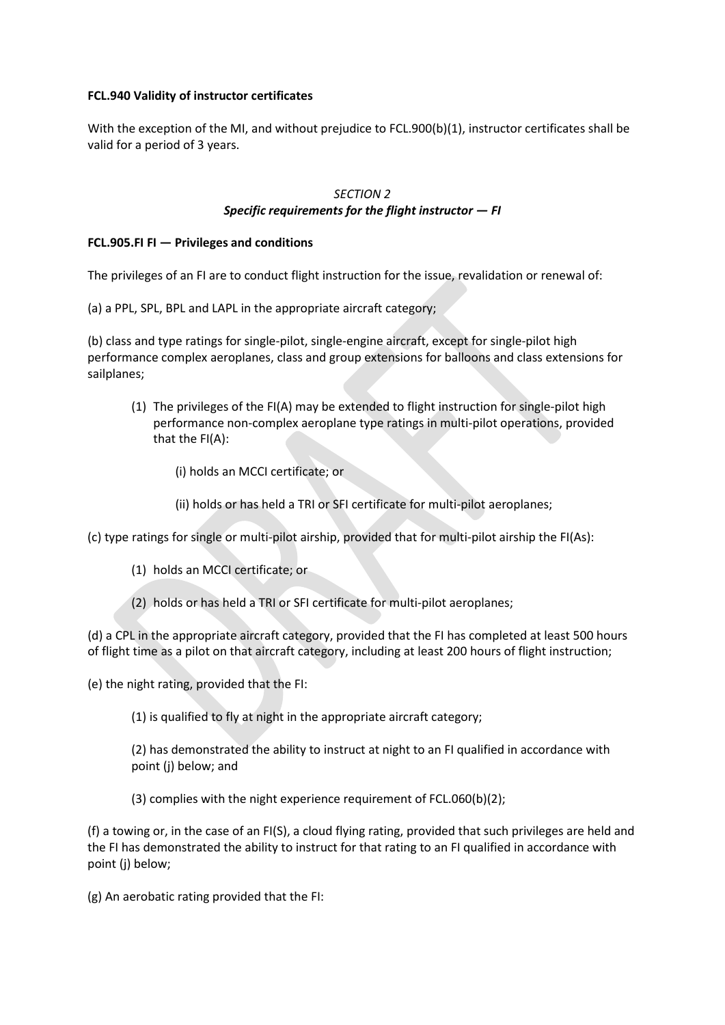## **FCL.940 Validity of instructor certificates**

With the exception of the MI, and without prejudice to FCL.900(b)(1), instructor certificates shall be valid for a period of 3 years.

# *SECTION 2 Specific requirements for the flight instructor — FI*

# **FCL.905.FI FI — Privileges and conditions**

The privileges of an FI are to conduct flight instruction for the issue, revalidation or renewal of:

(a) a PPL, SPL, BPL and LAPL in the appropriate aircraft category;

(b) class and type ratings for single-pilot, single-engine aircraft, except for single-pilot high performance complex aeroplanes, class and group extensions for balloons and class extensions for sailplanes;

- (1) The privileges of the FI(A) may be extended to flight instruction for single-pilot high performance non-complex aeroplane type ratings in multi-pilot operations, provided that the FI(A):
	- (i) holds an MCCI certificate; or
	- (ii) holds or has held a TRI or SFI certificate for multi-pilot aeroplanes;

(c) type ratings for single or multi-pilot airship, provided that for multi-pilot airship the FI(As):

- (1) holds an MCCI certificate; or
- (2) holds or has held a TRI or SFI certificate for multi-pilot aeroplanes;

(d) a CPL in the appropriate aircraft category, provided that the FI has completed at least 500 hours of flight time as a pilot on that aircraft category, including at least 200 hours of flight instruction;

(e) the night rating, provided that the FI:

(1) is qualified to fly at night in the appropriate aircraft category;

(2) has demonstrated the ability to instruct at night to an FI qualified in accordance with point (j) below; and

(3) complies with the night experience requirement of FCL.060(b)(2);

(f) a towing or, in the case of an FI(S), a cloud flying rating, provided that such privileges are held and the FI has demonstrated the ability to instruct for that rating to an FI qualified in accordance with point (i) below:

(g) An aerobatic rating provided that the FI: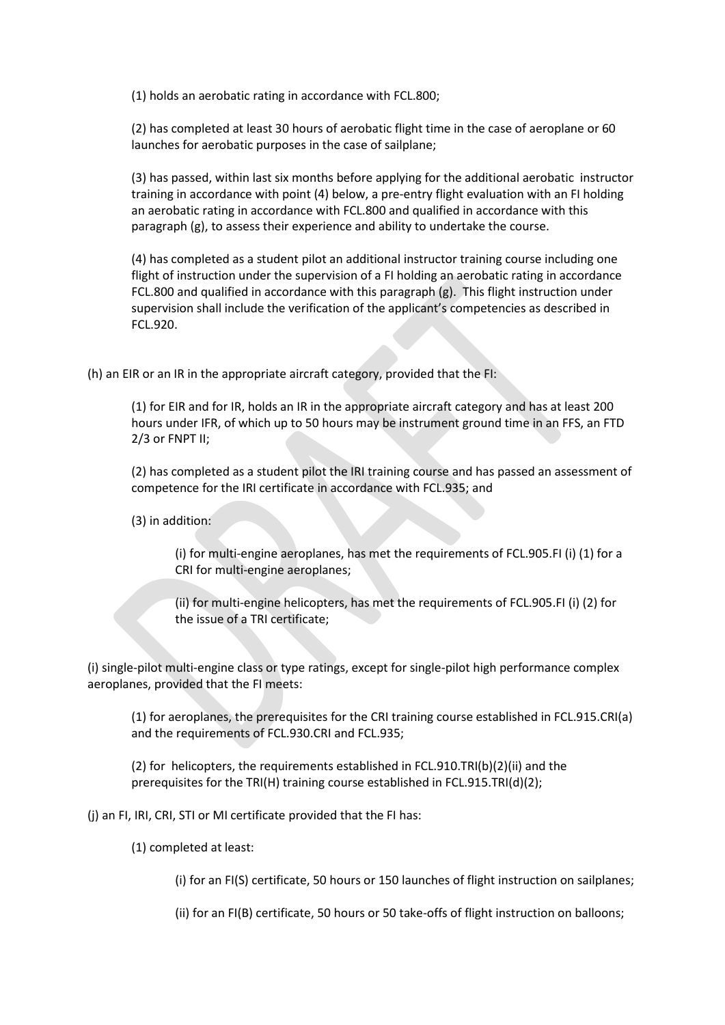(1) holds an aerobatic rating in accordance with FCL.800;

(2) has completed at least 30 hours of aerobatic flight time in the case of aeroplane or 60 launches for aerobatic purposes in the case of sailplane;

(3) has passed, within last six months before applying for the additional aerobatic instructor training in accordance with point (4) below, a pre-entry flight evaluation with an FI holding an aerobatic rating in accordance with FCL.800 and qualified in accordance with this paragraph (g), to assess their experience and ability to undertake the course.

(4) has completed as a student pilot an additional instructor training course including one flight of instruction under the supervision of a FI holding an aerobatic rating in accordance FCL.800 and qualified in accordance with this paragraph (g). This flight instruction under supervision shall include the verification of the applicant's competencies as described in FCL.920.

(h) an EIR or an IR in the appropriate aircraft category, provided that the FI:

(1) for EIR and for IR, holds an IR in the appropriate aircraft category and has at least 200 hours under IFR, of which up to 50 hours may be instrument ground time in an FFS, an FTD 2/3 or FNPT II;

(2) has completed as a student pilot the IRI training course and has passed an assessment of competence for the IRI certificate in accordance with FCL.935; and

(3) in addition:

(i) for multi-engine aeroplanes, has met the requirements of FCL.905.FI (i) (1) for a CRI for multi-engine aeroplanes;

(ii) for multi-engine helicopters, has met the requirements of FCL.905.FI (i) (2) for the issue of a TRI certificate;

(i) single-pilot multi-engine class or type ratings, except for single-pilot high performance complex aeroplanes, provided that the FI meets:

(1) for aeroplanes, the prerequisites for the CRI training course established in FCL.915.CRI(a) and the requirements of FCL.930.CRI and FCL.935;

(2) for helicopters, the requirements established in FCL.910.TRI(b)(2)(ii) and the prerequisites for the TRI(H) training course established in FCL.915.TRI(d)(2);

(j) an FI, IRI, CRI, STI or MI certificate provided that the FI has:

(1) completed at least:

(i) for an FI(S) certificate, 50 hours or 150 launches of flight instruction on sailplanes;

(ii) for an FI(B) certificate, 50 hours or 50 take-offs of flight instruction on balloons;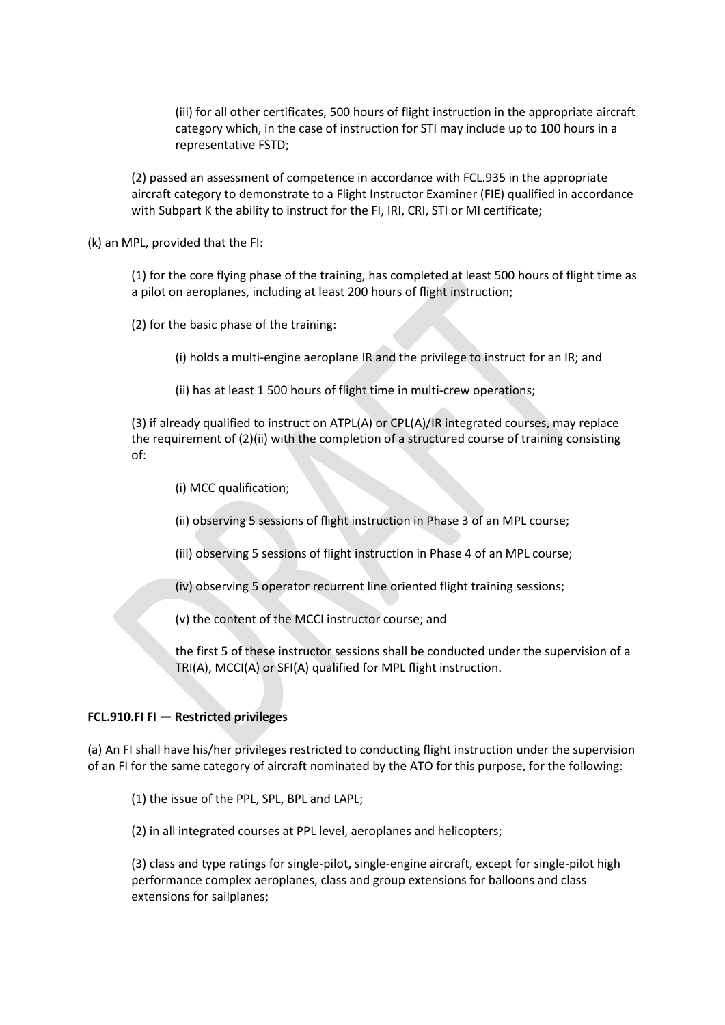(iii) for all other certificates, 500 hours of flight instruction in the appropriate aircraft category which, in the case of instruction for STI may include up to 100 hours in a representative FSTD;

(2) passed an assessment of competence in accordance with FCL.935 in the appropriate aircraft category to demonstrate to a Flight Instructor Examiner (FIE) qualified in accordance with Subpart K the ability to instruct for the FI, IRI, CRI, STI or MI certificate;

(k) an MPL, provided that the FI:

(1) for the core flying phase of the training, has completed at least 500 hours of flight time as a pilot on aeroplanes, including at least 200 hours of flight instruction;

(2) for the basic phase of the training:

(i) holds a multi-engine aeroplane IR and the privilege to instruct for an IR; and

(ii) has at least 1 500 hours of flight time in multi-crew operations;

(3) if already qualified to instruct on ATPL(A) or CPL(A)/IR integrated courses, may replace the requirement of (2)(ii) with the completion of a structured course of training consisting of:

(i) MCC qualification;

(ii) observing 5 sessions of flight instruction in Phase 3 of an MPL course;

(iii) observing 5 sessions of flight instruction in Phase 4 of an MPL course;

(iv) observing 5 operator recurrent line oriented flight training sessions;

(v) the content of the MCCI instructor course; and

the first 5 of these instructor sessions shall be conducted under the supervision of a TRI(A), MCCI(A) or SFI(A) qualified for MPL flight instruction.

#### **FCL.910.FI FI — Restricted privileges**

(a) An FI shall have his/her privileges restricted to conducting flight instruction under the supervision of an FI for the same category of aircraft nominated by the ATO for this purpose, for the following:

(1) the issue of the PPL, SPL, BPL and LAPL;

(2) in all integrated courses at PPL level, aeroplanes and helicopters;

(3) class and type ratings for single-pilot, single-engine aircraft, except for single-pilot high performance complex aeroplanes, class and group extensions for balloons and class extensions for sailplanes;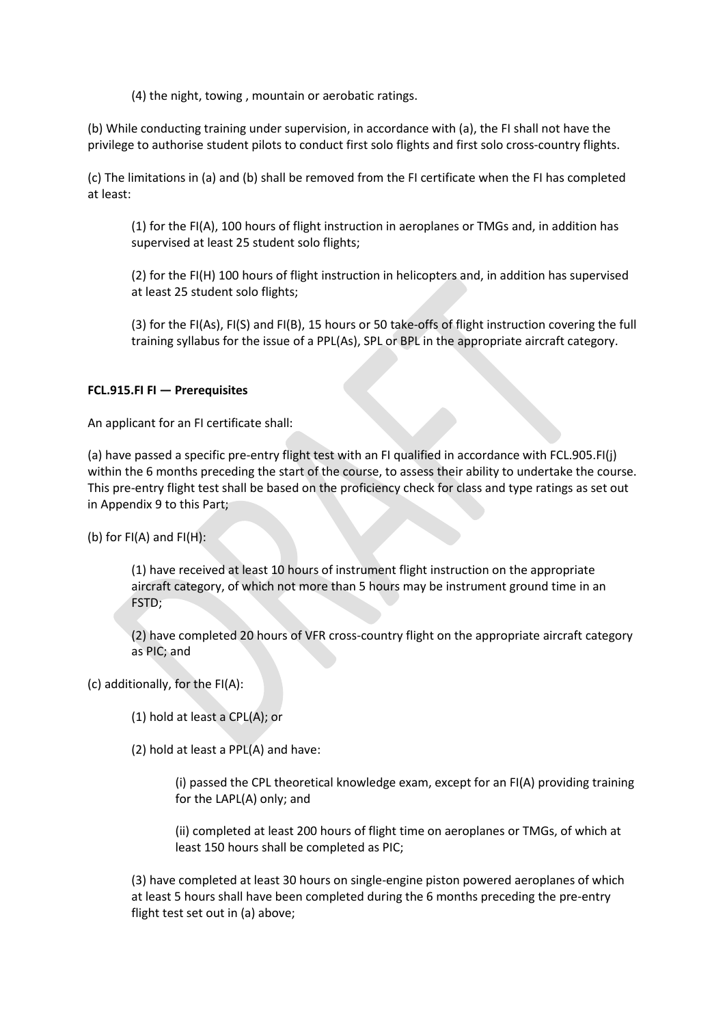(4) the night, towing , mountain or aerobatic ratings.

(b) While conducting training under supervision, in accordance with (a), the FI shall not have the privilege to authorise student pilots to conduct first solo flights and first solo cross-country flights.

(c) The limitations in (a) and (b) shall be removed from the FI certificate when the FI has completed at least:

(1) for the FI(A), 100 hours of flight instruction in aeroplanes or TMGs and, in addition has supervised at least 25 student solo flights;

(2) for the FI(H) 100 hours of flight instruction in helicopters and, in addition has supervised at least 25 student solo flights;

(3) for the FI(As), FI(S) and FI(B), 15 hours or 50 take-offs of flight instruction covering the full training syllabus for the issue of a PPL(As), SPL or BPL in the appropriate aircraft category.

### **FCL.915.FI FI — Prerequisites**

An applicant for an FI certificate shall:

(a) have passed a specific pre-entry flight test with an FI qualified in accordance with FCL.905.FI(j) within the 6 months preceding the start of the course, to assess their ability to undertake the course. This pre-entry flight test shall be based on the proficiency check for class and type ratings as set out in Appendix 9 to this Part;

(b) for FI(A) and FI(H):

(1) have received at least 10 hours of instrument flight instruction on the appropriate aircraft category, of which not more than 5 hours may be instrument ground time in an FSTD;

(2) have completed 20 hours of VFR cross-country flight on the appropriate aircraft category as PIC; and

(c) additionally, for the FI(A):

(1) hold at least a CPL(A); or

(2) hold at least a PPL(A) and have:

(i) passed the CPL theoretical knowledge exam, except for an FI(A) providing training for the LAPL(A) only; and

(ii) completed at least 200 hours of flight time on aeroplanes or TMGs, of which at least 150 hours shall be completed as PIC;

(3) have completed at least 30 hours on single-engine piston powered aeroplanes of which at least 5 hours shall have been completed during the 6 months preceding the pre-entry flight test set out in (a) above;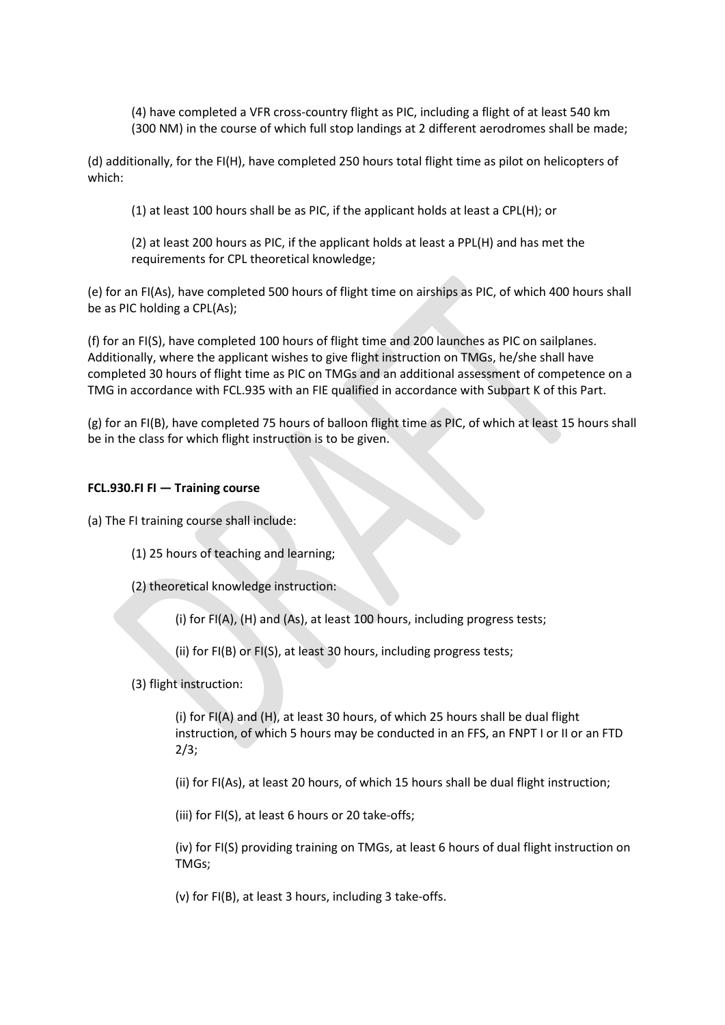(4) have completed a VFR cross-country flight as PIC, including a flight of at least 540 km (300 NM) in the course of which full stop landings at 2 different aerodromes shall be made;

(d) additionally, for the FI(H), have completed 250 hours total flight time as pilot on helicopters of which:

(1) at least 100 hours shall be as PIC, if the applicant holds at least a CPL(H); or

(2) at least 200 hours as PIC, if the applicant holds at least a PPL(H) and has met the requirements for CPL theoretical knowledge;

(e) for an FI(As), have completed 500 hours of flight time on airships as PIC, of which 400 hours shall be as PIC holding a CPL(As);

(f) for an FI(S), have completed 100 hours of flight time and 200 launches as PIC on sailplanes. Additionally, where the applicant wishes to give flight instruction on TMGs, he/she shall have completed 30 hours of flight time as PIC on TMGs and an additional assessment of competence on a TMG in accordance with FCL.935 with an FIE qualified in accordance with Subpart K of this Part.

(g) for an FI(B), have completed 75 hours of balloon flight time as PIC, of which at least 15 hours shall be in the class for which flight instruction is to be given.

# **FCL.930.FI FI — Training course**

(a) The FI training course shall include:

- (1) 25 hours of teaching and learning;
- (2) theoretical knowledge instruction:

(i) for FI(A), (H) and (As), at least 100 hours, including progress tests;

(ii) for FI(B) or FI(S), at least 30 hours, including progress tests;

(3) flight instruction:

(i) for FI(A) and (H), at least 30 hours, of which 25 hours shall be dual flight instruction, of which 5 hours may be conducted in an FFS, an FNPT I or II or an FTD 2/3;

(ii) for FI(As), at least 20 hours, of which 15 hours shall be dual flight instruction;

(iii) for FI(S), at least 6 hours or 20 take-offs;

(iv) for FI(S) providing training on TMGs, at least 6 hours of dual flight instruction on TMGs;

(v) for FI(B), at least 3 hours, including 3 take-offs.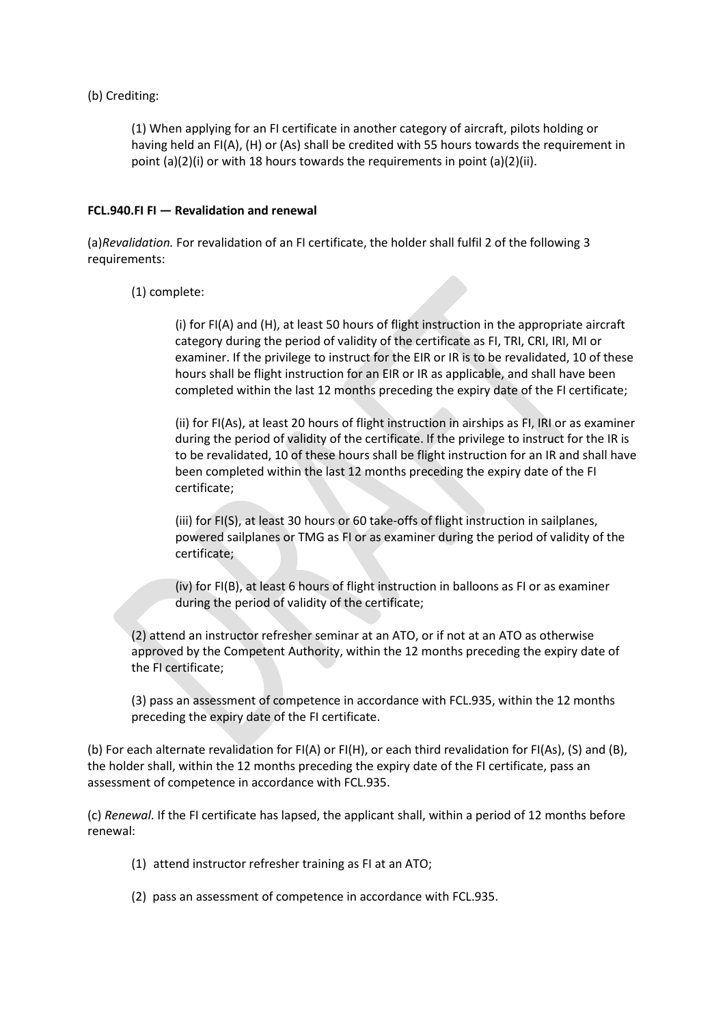# (b) Crediting:

(1) When applying for an FI certificate in another category of aircraft, pilots holding or having held an FI(A), (H) or (As) shall be credited with 55 hours towards the requirement in point (a)(2)(i) or with 18 hours towards the requirements in point (a)(2)(ii).

# **FCL.940.FI FI — Revalidation and renewal**

(a)*Revalidation.* For revalidation of an FI certificate, the holder shall fulfil 2 of the following 3 requirements:

# (1) complete:

(i) for FI(A) and (H), at least 50 hours of flight instruction in the appropriate aircraft category during the period of validity of the certificate as FI, TRI, CRI, IRI, MI or examiner. If the privilege to instruct for the EIR or IR is to be revalidated, 10 of these hours shall be flight instruction for an EIR or IR as applicable, and shall have been completed within the last 12 months preceding the expiry date of the FI certificate;

(ii) for FI(As), at least 20 hours of flight instruction in airships as FI, IRI or as examiner during the period of validity of the certificate. If the privilege to instruct for the IR is to be revalidated, 10 of these hours shall be flight instruction for an IR and shall have been completed within the last 12 months preceding the expiry date of the FI certificate;

(iii) for FI(S), at least 30 hours or 60 take-offs of flight instruction in sailplanes, powered sailplanes or TMG as FI or as examiner during the period of validity of the certificate;

(iv) for FI(B), at least 6 hours of flight instruction in balloons as FI or as examiner during the period of validity of the certificate;

(2) attend an instructor refresher seminar at an ATO, or if not at an ATO as otherwise approved by the Competent Authority, within the 12 months preceding the expiry date of the FI certificate;

(3) pass an assessment of competence in accordance with FCL.935, within the 12 months preceding the expiry date of the FI certificate.

(b) For each alternate revalidation for FI(A) or FI(H), or each third revalidation for FI(As), (S) and (B), the holder shall, within the 12 months preceding the expiry date of the FI certificate, pass an assessment of competence in accordance with FCL.935.

(c) *Renewal*. If the FI certificate has lapsed, the applicant shall, within a period of 12 months before renewal:

(1) attend instructor refresher training as FI at an ATO;

(2) pass an assessment of competence in accordance with FCL.935.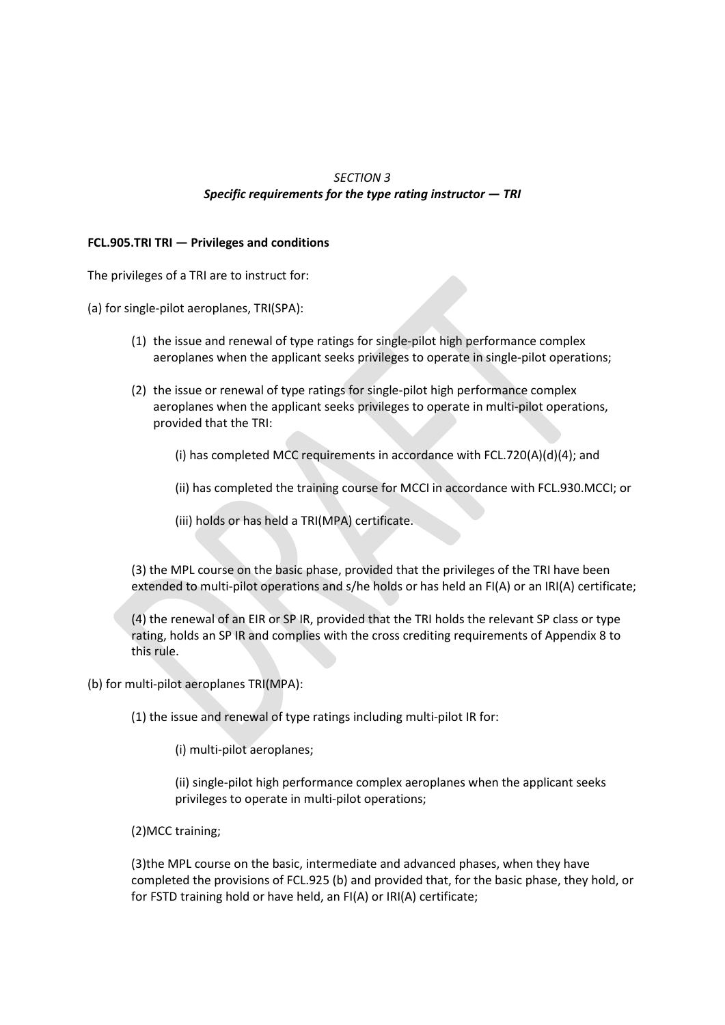# *SECTION 3 Specific requirements for the type rating instructor — TRI*

### **FCL.905.TRI TRI — Privileges and conditions**

The privileges of a TRI are to instruct for:

(a) for single-pilot aeroplanes, TRI(SPA):

- (1) the issue and renewal of type ratings for single-pilot high performance complex aeroplanes when the applicant seeks privileges to operate in single-pilot operations;
- (2) the issue or renewal of type ratings for single-pilot high performance complex aeroplanes when the applicant seeks privileges to operate in multi-pilot operations, provided that the TRI:
	- (i) has completed MCC requirements in accordance with FCL.720(A)(d)(4); and
	- (ii) has completed the training course for MCCI in accordance with FCL.930.MCCI; or
	- (iii) holds or has held a TRI(MPA) certificate.

(3) the MPL course on the basic phase, provided that the privileges of the TRI have been extended to multi-pilot operations and s/he holds or has held an FI(A) or an IRI(A) certificate;

(4) the renewal of an EIR or SP IR, provided that the TRI holds the relevant SP class or type rating, holds an SP IR and complies with the cross crediting requirements of Appendix 8 to this rule.

(b) for multi-pilot aeroplanes TRI(MPA):

(1) the issue and renewal of type ratings including multi-pilot IR for:

(i) multi-pilot aeroplanes;

(ii) single-pilot high performance complex aeroplanes when the applicant seeks privileges to operate in multi-pilot operations;

(2)MCC training;

(3)the MPL course on the basic, intermediate and advanced phases, when they have completed the provisions of FCL.925 (b) and provided that, for the basic phase, they hold, or for FSTD training hold or have held, an FI(A) or IRI(A) certificate;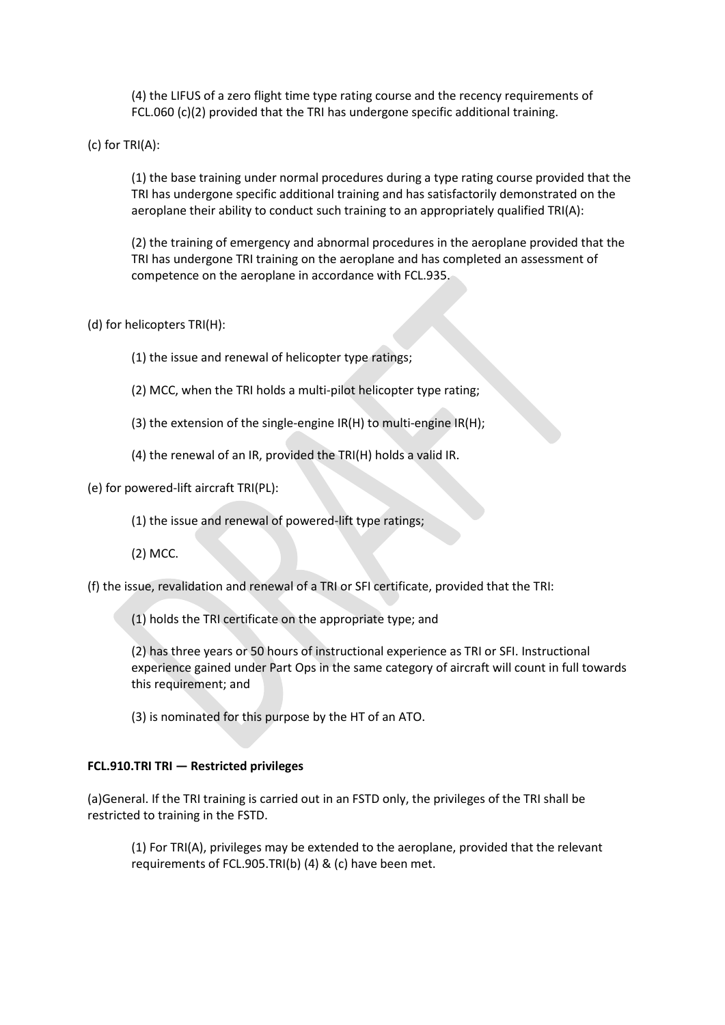(4) the LIFUS of a zero flight time type rating course and the recency requirements of FCL.060 (c)(2) provided that the TRI has undergone specific additional training.

(c) for TRI(A):

(1) the base training under normal procedures during a type rating course provided that the TRI has undergone specific additional training and has satisfactorily demonstrated on the aeroplane their ability to conduct such training to an appropriately qualified TRI(A):

(2) the training of emergency and abnormal procedures in the aeroplane provided that the TRI has undergone TRI training on the aeroplane and has completed an assessment of competence on the aeroplane in accordance with FCL.935.

(d) for helicopters TRI(H):

(1) the issue and renewal of helicopter type ratings;

- (2) MCC, when the TRI holds a multi-pilot helicopter type rating;
- (3) the extension of the single-engine IR(H) to multi-engine IR(H);
- (4) the renewal of an IR, provided the TRI(H) holds a valid IR.

(e) for powered-lift aircraft TRI(PL):

(1) the issue and renewal of powered-lift type ratings;

(2) MCC.

(f) the issue, revalidation and renewal of a TRI or SFI certificate, provided that the TRI:

(1) holds the TRI certificate on the appropriate type; and

(2) has three years or 50 hours of instructional experience as TRI or SFI. Instructional experience gained under Part Ops in the same category of aircraft will count in full towards this requirement; and

(3) is nominated for this purpose by the HT of an ATO.

#### **FCL.910.TRI TRI — Restricted privileges**

(a)General. If the TRI training is carried out in an FSTD only, the privileges of the TRI shall be restricted to training in the FSTD.

(1) For TRI(A), privileges may be extended to the aeroplane, provided that the relevant requirements of FCL.905.TRI(b) (4) & (c) have been met.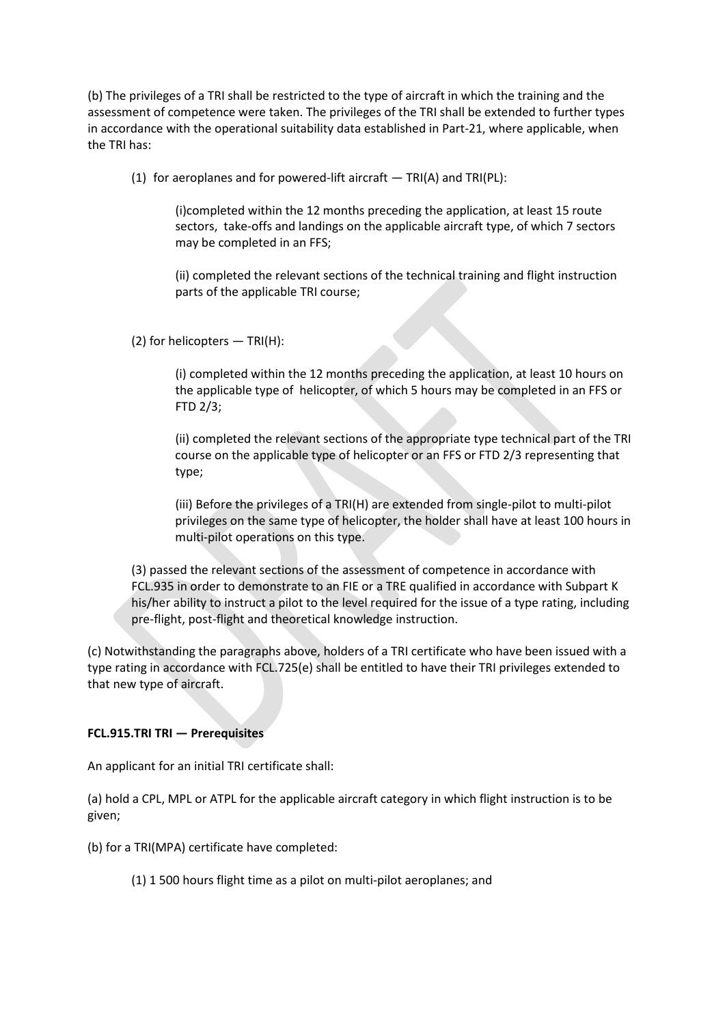(b) The privileges of a TRI shall be restricted to the type of aircraft in which the training and the assessment of competence were taken. The privileges of the TRI shall be extended to further types in accordance with the operational suitability data established in Part-21, where applicable, when the TRI has:

(1) for aeroplanes and for powered-lift aircraft  $-$  TRI(A) and TRI(PL):

(i)completed within the 12 months preceding the application, at least 15 route sectors, take-offs and landings on the applicable aircraft type, of which 7 sectors may be completed in an FFS;

(ii) completed the relevant sections of the technical training and flight instruction parts of the applicable TRI course;

(2) for helicopters — TRI(H):

(i) completed within the 12 months preceding the application, at least 10 hours on the applicable type of helicopter, of which 5 hours may be completed in an FFS or FTD 2/3;

(ii) completed the relevant sections of the appropriate type technical part of the TRI course on the applicable type of helicopter or an FFS or FTD 2/3 representing that type;

(iii) Before the privileges of a TRI(H) are extended from single-pilot to multi-pilot privileges on the same type of helicopter, the holder shall have at least 100 hours in multi-pilot operations on this type.

(3) passed the relevant sections of the assessment of competence in accordance with FCL.935 in order to demonstrate to an FIE or a TRE qualified in accordance with Subpart K his/her ability to instruct a pilot to the level required for the issue of a type rating, including pre-flight, post-flight and theoretical knowledge instruction.

(c) Notwithstanding the paragraphs above, holders of a TRI certificate who have been issued with a type rating in accordance with FCL.725(e) shall be entitled to have their TRI privileges extended to that new type of aircraft.

### **FCL.915.TRI TRI — Prerequisites**

An applicant for an initial TRI certificate shall:

(a) hold a CPL, MPL or ATPL for the applicable aircraft category in which flight instruction is to be given;

(b) for a TRI(MPA) certificate have completed:

(1) 1 500 hours flight time as a pilot on multi-pilot aeroplanes; and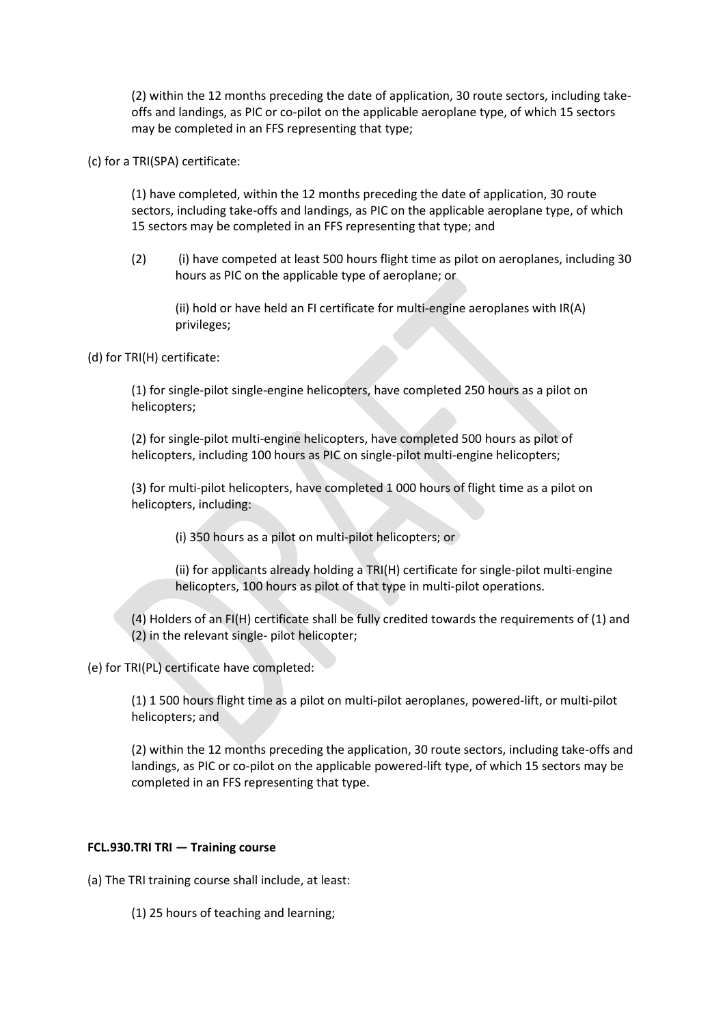(2) within the 12 months preceding the date of application, 30 route sectors, including takeoffs and landings, as PIC or co-pilot on the applicable aeroplane type, of which 15 sectors may be completed in an FFS representing that type;

(c) for a TRI(SPA) certificate:

(1) have completed, within the 12 months preceding the date of application, 30 route sectors, including take-offs and landings, as PIC on the applicable aeroplane type, of which 15 sectors may be completed in an FFS representing that type; and

(2) (i) have competed at least 500 hours flight time as pilot on aeroplanes, including 30 hours as PIC on the applicable type of aeroplane; or

(ii) hold or have held an FI certificate for multi-engine aeroplanes with IR(A) privileges;

(d) for TRI(H) certificate:

(1) for single-pilot single-engine helicopters, have completed 250 hours as a pilot on helicopters;

(2) for single-pilot multi-engine helicopters, have completed 500 hours as pilot of helicopters, including 100 hours as PIC on single-pilot multi-engine helicopters;

(3) for multi-pilot helicopters, have completed 1 000 hours of flight time as a pilot on helicopters, including:

(i) 350 hours as a pilot on multi-pilot helicopters; or

(ii) for applicants already holding a TRI(H) certificate for single-pilot multi-engine helicopters, 100 hours as pilot of that type in multi-pilot operations.

(4) Holders of an FI(H) certificate shall be fully credited towards the requirements of (1) and (2) in the relevant single- pilot helicopter;

(e) for TRI(PL) certificate have completed:

(1) 1 500 hours flight time as a pilot on multi-pilot aeroplanes, powered-lift, or multi-pilot helicopters; and

(2) within the 12 months preceding the application, 30 route sectors, including take-offs and landings, as PIC or co-pilot on the applicable powered-lift type, of which 15 sectors may be completed in an FFS representing that type.

### **FCL.930.TRI TRI — Training course**

(a) The TRI training course shall include, at least:

(1) 25 hours of teaching and learning;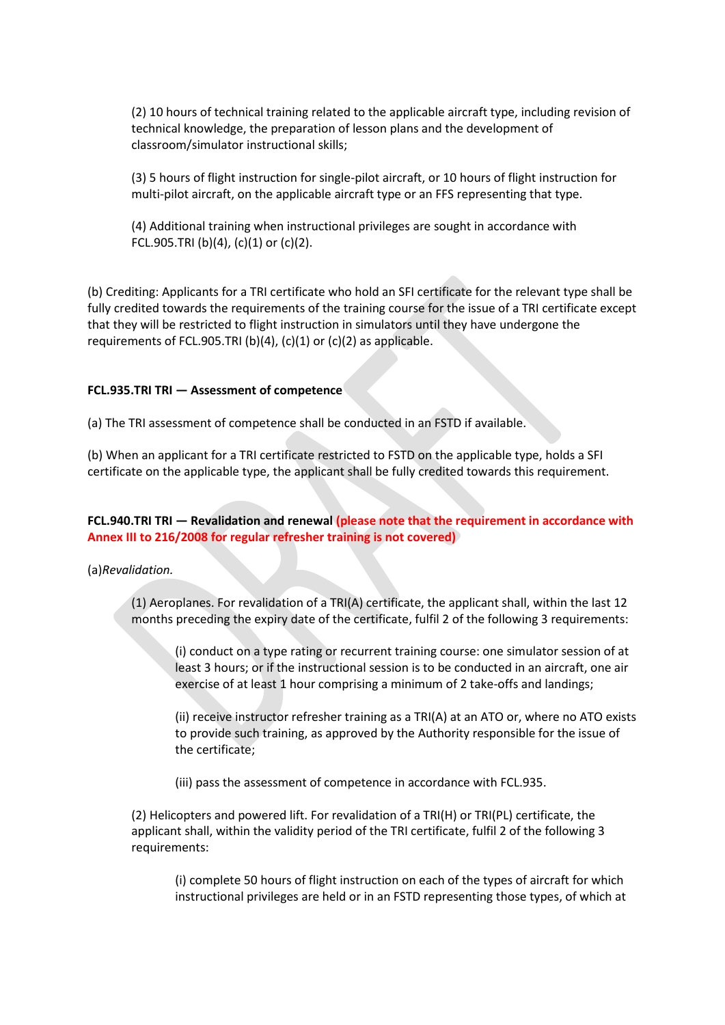(2) 10 hours of technical training related to the applicable aircraft type, including revision of technical knowledge, the preparation of lesson plans and the development of classroom/simulator instructional skills;

(3) 5 hours of flight instruction for single-pilot aircraft, or 10 hours of flight instruction for multi-pilot aircraft, on the applicable aircraft type or an FFS representing that type.

(4) Additional training when instructional privileges are sought in accordance with FCL.905.TRI (b)(4), (c)(1) or (c)(2).

(b) Crediting: Applicants for a TRI certificate who hold an SFI certificate for the relevant type shall be fully credited towards the requirements of the training course for the issue of a TRI certificate except that they will be restricted to flight instruction in simulators until they have undergone the requirements of FCL.905.TRI (b)(4), (c)(1) or (c)(2) as applicable.

#### **FCL.935.TRI TRI — Assessment of competence**

(a) The TRI assessment of competence shall be conducted in an FSTD if available.

(b) When an applicant for a TRI certificate restricted to FSTD on the applicable type, holds a SFI certificate on the applicable type, the applicant shall be fully credited towards this requirement.

**FCL.940.TRI TRI — Revalidation and renewal (please note that the requirement in accordance with Annex III to 216/2008 for regular refresher training is not covered)**

(a)*Revalidation.* 

(1) Aeroplanes. For revalidation of a TRI(A) certificate, the applicant shall, within the last 12 months preceding the expiry date of the certificate, fulfil 2 of the following 3 requirements:

(i) conduct on a type rating or recurrent training course: one simulator session of at least 3 hours; or if the instructional session is to be conducted in an aircraft, one air exercise of at least 1 hour comprising a minimum of 2 take-offs and landings;

(ii) receive instructor refresher training as a TRI(A) at an ATO or, where no ATO exists to provide such training, as approved by the Authority responsible for the issue of the certificate;

(iii) pass the assessment of competence in accordance with FCL.935.

(2) Helicopters and powered lift. For revalidation of a TRI(H) or TRI(PL) certificate, the applicant shall, within the validity period of the TRI certificate, fulfil 2 of the following 3 requirements:

(i) complete 50 hours of flight instruction on each of the types of aircraft for which instructional privileges are held or in an FSTD representing those types, of which at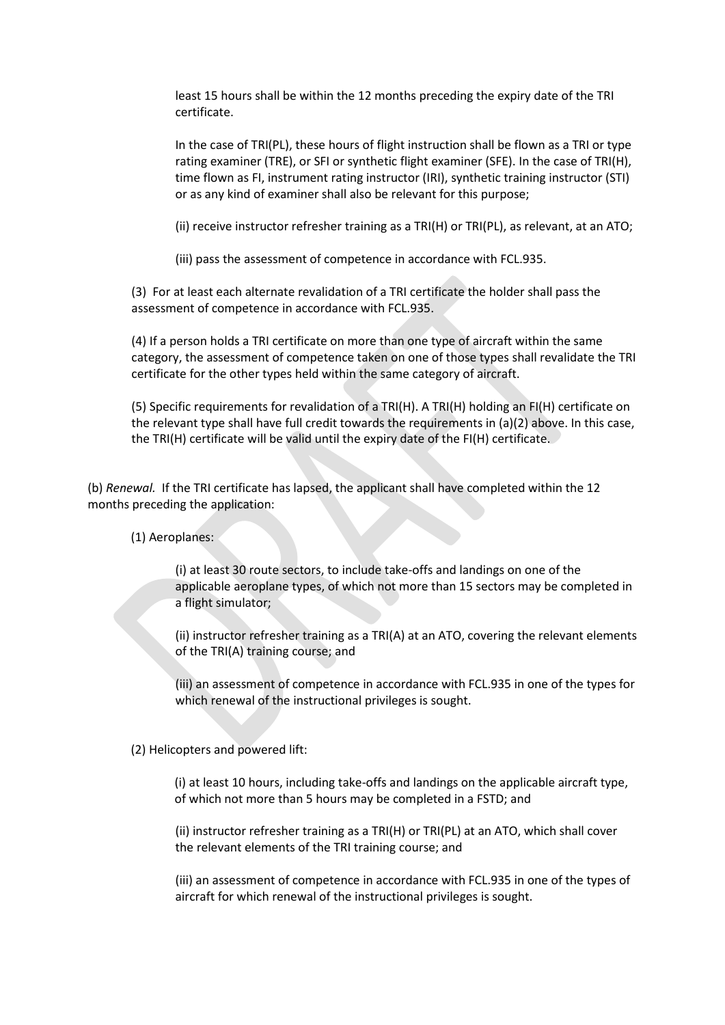least 15 hours shall be within the 12 months preceding the expiry date of the TRI certificate.

In the case of TRI(PL), these hours of flight instruction shall be flown as a TRI or type rating examiner (TRE), or SFI or synthetic flight examiner (SFE). In the case of TRI(H), time flown as FI, instrument rating instructor (IRI), synthetic training instructor (STI) or as any kind of examiner shall also be relevant for this purpose;

(ii) receive instructor refresher training as a TRI(H) or TRI(PL), as relevant, at an ATO;

(iii) pass the assessment of competence in accordance with FCL.935.

(3) For at least each alternate revalidation of a TRI certificate the holder shall pass the assessment of competence in accordance with FCL.935.

(4) If a person holds a TRI certificate on more than one type of aircraft within the same category, the assessment of competence taken on one of those types shall revalidate the TRI certificate for the other types held within the same category of aircraft.

(5) Specific requirements for revalidation of a TRI(H). A TRI(H) holding an FI(H) certificate on the relevant type shall have full credit towards the requirements in (a)(2) above. In this case, the TRI(H) certificate will be valid until the expiry date of the FI(H) certificate.

(b) *Renewal.* If the TRI certificate has lapsed, the applicant shall have completed within the 12 months preceding the application:

(1) Aeroplanes:

(i) at least 30 route sectors, to include take-offs and landings on one of the applicable aeroplane types, of which not more than 15 sectors may be completed in a flight simulator;

(ii) instructor refresher training as a TRI(A) at an ATO, covering the relevant elements of the TRI(A) training course; and

(iii) an assessment of competence in accordance with FCL.935 in one of the types for which renewal of the instructional privileges is sought.

(2) Helicopters and powered lift:

(i) at least 10 hours, including take-offs and landings on the applicable aircraft type, of which not more than 5 hours may be completed in a FSTD; and

(ii) instructor refresher training as a TRI(H) or TRI(PL) at an ATO, which shall cover the relevant elements of the TRI training course; and

(iii) an assessment of competence in accordance with FCL.935 in one of the types of aircraft for which renewal of the instructional privileges is sought.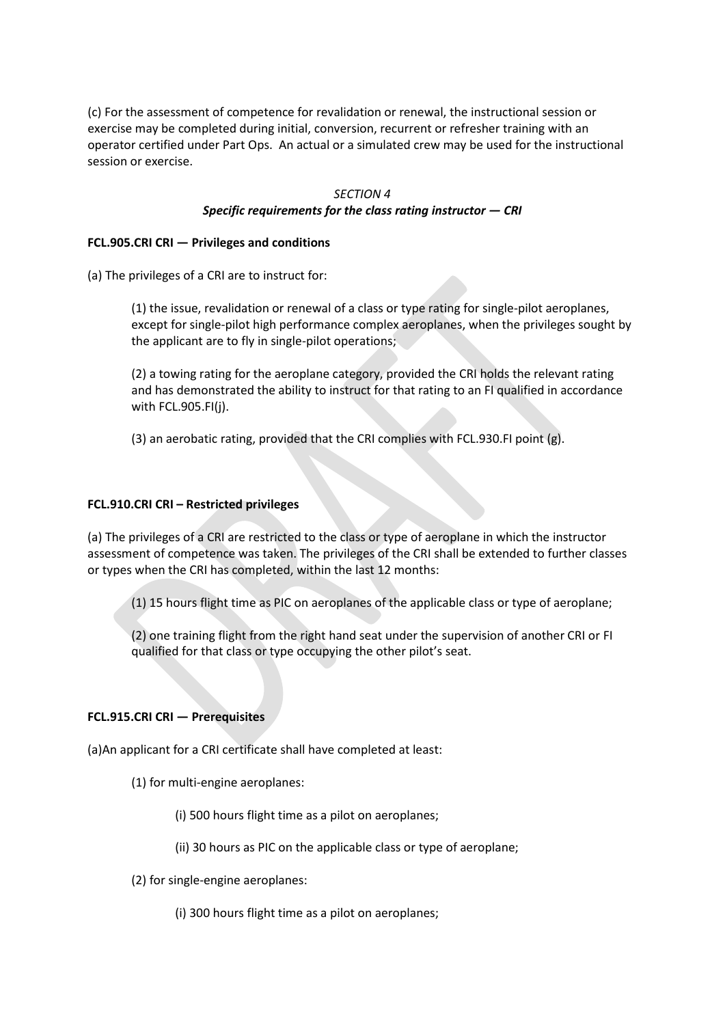(c) For the assessment of competence for revalidation or renewal, the instructional session or exercise may be completed during initial, conversion, recurrent or refresher training with an operator certified under Part Ops. An actual or a simulated crew may be used for the instructional session or exercise.

#### *SECTION 4*

## *Specific requirements for the class rating instructor — CRI*

### **FCL.905.CRI CRI — Privileges and conditions**

(a) The privileges of a CRI are to instruct for:

(1) the issue, revalidation or renewal of a class or type rating for single-pilot aeroplanes, except for single-pilot high performance complex aeroplanes, when the privileges sought by the applicant are to fly in single-pilot operations;

(2) a towing rating for the aeroplane category, provided the CRI holds the relevant rating and has demonstrated the ability to instruct for that rating to an FI qualified in accordance with FCL.905.FI(j).

(3) an aerobatic rating, provided that the CRI complies with FCL.930.FI point (g).

### **FCL.910.CRI CRI – Restricted privileges**

(a) The privileges of a CRI are restricted to the class or type of aeroplane in which the instructor assessment of competence was taken. The privileges of the CRI shall be extended to further classes or types when the CRI has completed, within the last 12 months:

(1) 15 hours flight time as PIC on aeroplanes of the applicable class or type of aeroplane;

(2) one training flight from the right hand seat under the supervision of another CRI or FI qualified for that class or type occupying the other pilot's seat.

### **FCL.915.CRI CRI — Prerequisites**

(a)An applicant for a CRI certificate shall have completed at least:

- (1) for multi-engine aeroplanes:
	- (i) 500 hours flight time as a pilot on aeroplanes;
	- (ii) 30 hours as PIC on the applicable class or type of aeroplane;
- (2) for single-engine aeroplanes:
	- (i) 300 hours flight time as a pilot on aeroplanes;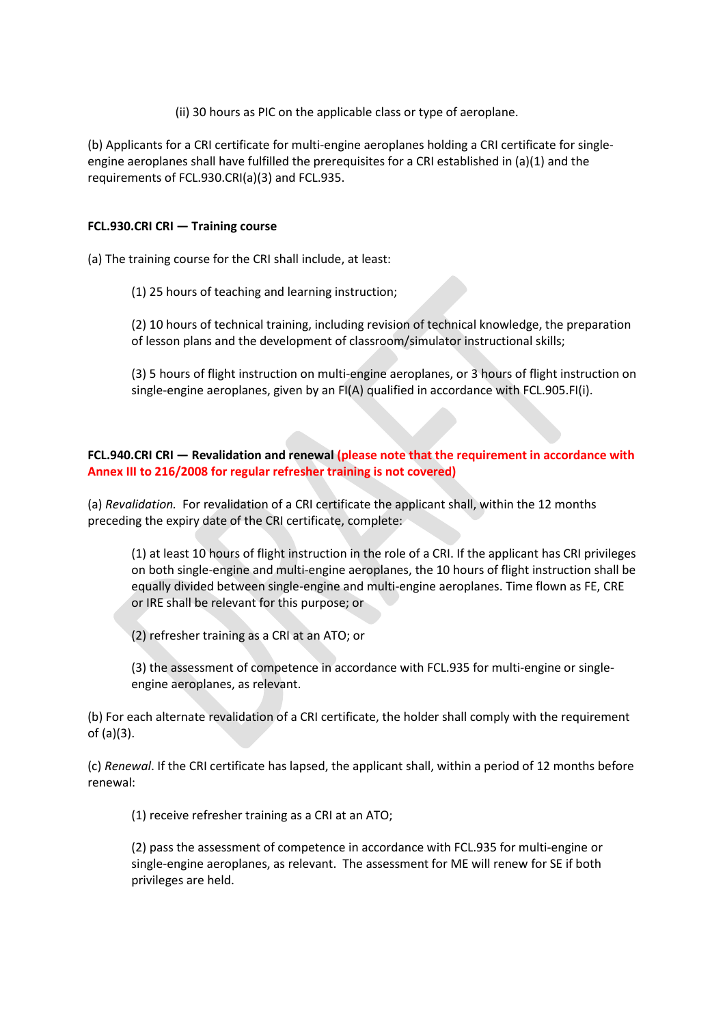(ii) 30 hours as PIC on the applicable class or type of aeroplane.

(b) Applicants for a CRI certificate for multi-engine aeroplanes holding a CRI certificate for singleengine aeroplanes shall have fulfilled the prerequisites for a CRI established in (a)(1) and the requirements of FCL.930.CRI(a)(3) and FCL.935.

## **FCL.930.CRI CRI — Training course**

(a) The training course for the CRI shall include, at least:

(1) 25 hours of teaching and learning instruction;

(2) 10 hours of technical training, including revision of technical knowledge, the preparation of lesson plans and the development of classroom/simulator instructional skills;

(3) 5 hours of flight instruction on multi-engine aeroplanes, or 3 hours of flight instruction on single-engine aeroplanes, given by an FI(A) qualified in accordance with FCL.905.FI(i).

**FCL.940.CRI CRI — Revalidation and renewal (please note that the requirement in accordance with Annex III to 216/2008 for regular refresher training is not covered)**

(a) *Revalidation.* For revalidation of a CRI certificate the applicant shall, within the 12 months preceding the expiry date of the CRI certificate, complete:

(1) at least 10 hours of flight instruction in the role of a CRI. If the applicant has CRI privileges on both single-engine and multi-engine aeroplanes, the 10 hours of flight instruction shall be equally divided between single-engine and multi-engine aeroplanes. Time flown as FE, CRE or IRE shall be relevant for this purpose; or

(2) refresher training as a CRI at an ATO; or

(3) the assessment of competence in accordance with FCL.935 for multi-engine or singleengine aeroplanes, as relevant.

(b) For each alternate revalidation of a CRI certificate, the holder shall comply with the requirement of (a)(3).

(c) *Renewal*. If the CRI certificate has lapsed, the applicant shall, within a period of 12 months before renewal:

(1) receive refresher training as a CRI at an ATO;

(2) pass the assessment of competence in accordance with FCL.935 for multi-engine or single-engine aeroplanes, as relevant. The assessment for ME will renew for SE if both privileges are held.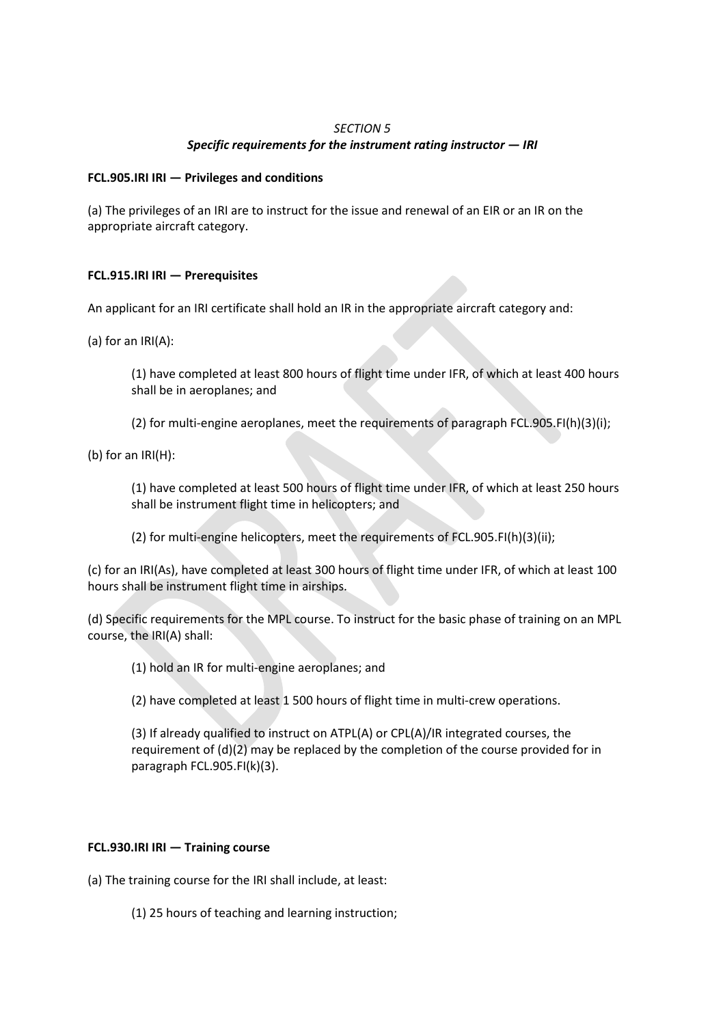## *SECTION 5*

# *Specific requirements for the instrument rating instructor — IRI*

## **FCL.905.IRI IRI — Privileges and conditions**

(a) The privileges of an IRI are to instruct for the issue and renewal of an EIR or an IR on the appropriate aircraft category.

# **FCL.915.IRI IRI — Prerequisites**

An applicant for an IRI certificate shall hold an IR in the appropriate aircraft category and:

(a) for an IRI(A):

(1) have completed at least 800 hours of flight time under IFR, of which at least 400 hours shall be in aeroplanes; and

(2) for multi-engine aeroplanes, meet the requirements of paragraph FCL.905.FI(h)(3)(i);

(b) for an IRI(H):

(1) have completed at least 500 hours of flight time under IFR, of which at least 250 hours shall be instrument flight time in helicopters; and

(2) for multi-engine helicopters, meet the requirements of FCL.905.FI(h)(3)(ii);

(c) for an IRI(As), have completed at least 300 hours of flight time under IFR, of which at least 100 hours shall be instrument flight time in airships.

(d) Specific requirements for the MPL course. To instruct for the basic phase of training on an MPL course, the IRI(A) shall:

(1) hold an IR for multi-engine aeroplanes; and

(2) have completed at least 1 500 hours of flight time in multi-crew operations.

(3) If already qualified to instruct on ATPL(A) or CPL(A)/IR integrated courses, the requirement of (d)(2) may be replaced by the completion of the course provided for in paragraph FCL.905.FI(k)(3).

### **FCL.930.IRI IRI — Training course**

(a) The training course for the IRI shall include, at least:

(1) 25 hours of teaching and learning instruction;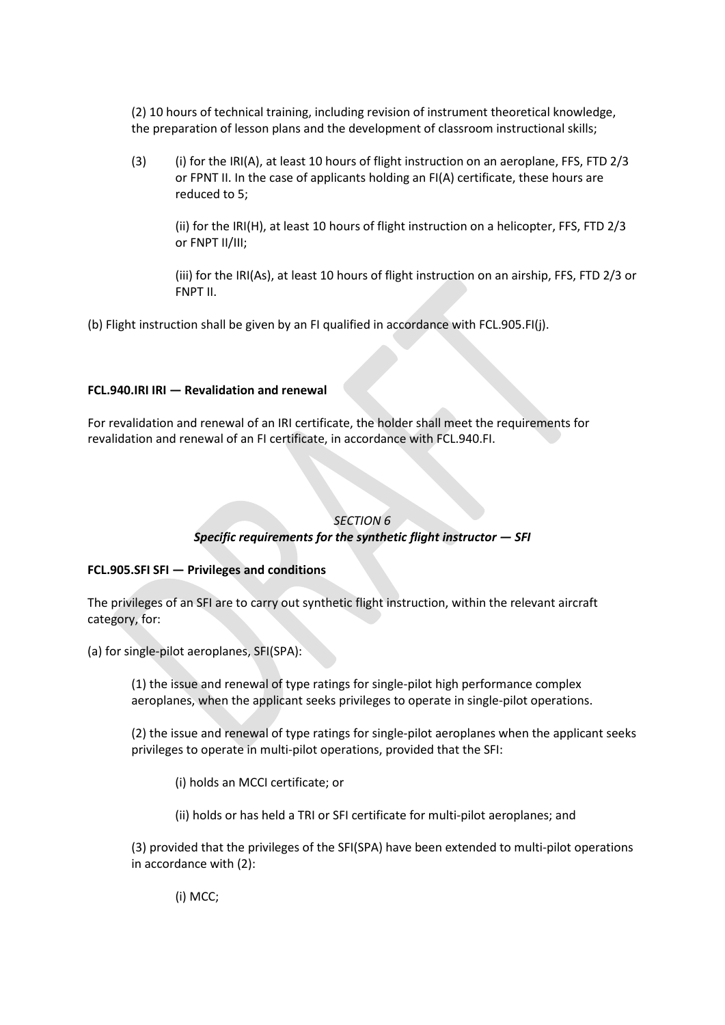(2) 10 hours of technical training, including revision of instrument theoretical knowledge, the preparation of lesson plans and the development of classroom instructional skills;

(3) (i) for the IRI(A), at least 10 hours of flight instruction on an aeroplane, FFS, FTD 2/3 or FPNT II. In the case of applicants holding an FI(A) certificate, these hours are reduced to 5;

(ii) for the IRI(H), at least 10 hours of flight instruction on a helicopter, FFS, FTD 2/3 or FNPT II/III;

(iii) for the IRI(As), at least 10 hours of flight instruction on an airship, FFS, FTD 2/3 or FNPT II.

(b) Flight instruction shall be given by an FI qualified in accordance with FCL.905.FI(j).

### **FCL.940.IRI IRI — Revalidation and renewal**

For revalidation and renewal of an IRI certificate, the holder shall meet the requirements for revalidation and renewal of an FI certificate, in accordance with FCL.940.FI.

### *SECTION 6*

# *Specific requirements for the synthetic flight instructor — SFI*

### **FCL.905.SFI SFI — Privileges and conditions**

The privileges of an SFI are to carry out synthetic flight instruction, within the relevant aircraft category, for:

(a) for single-pilot aeroplanes, SFI(SPA):

(1) the issue and renewal of type ratings for single-pilot high performance complex aeroplanes, when the applicant seeks privileges to operate in single-pilot operations.

(2) the issue and renewal of type ratings for single-pilot aeroplanes when the applicant seeks privileges to operate in multi-pilot operations, provided that the SFI:

(i) holds an MCCI certificate; or

(ii) holds or has held a TRI or SFI certificate for multi-pilot aeroplanes; and

(3) provided that the privileges of the SFI(SPA) have been extended to multi-pilot operations in accordance with (2):

(i) MCC;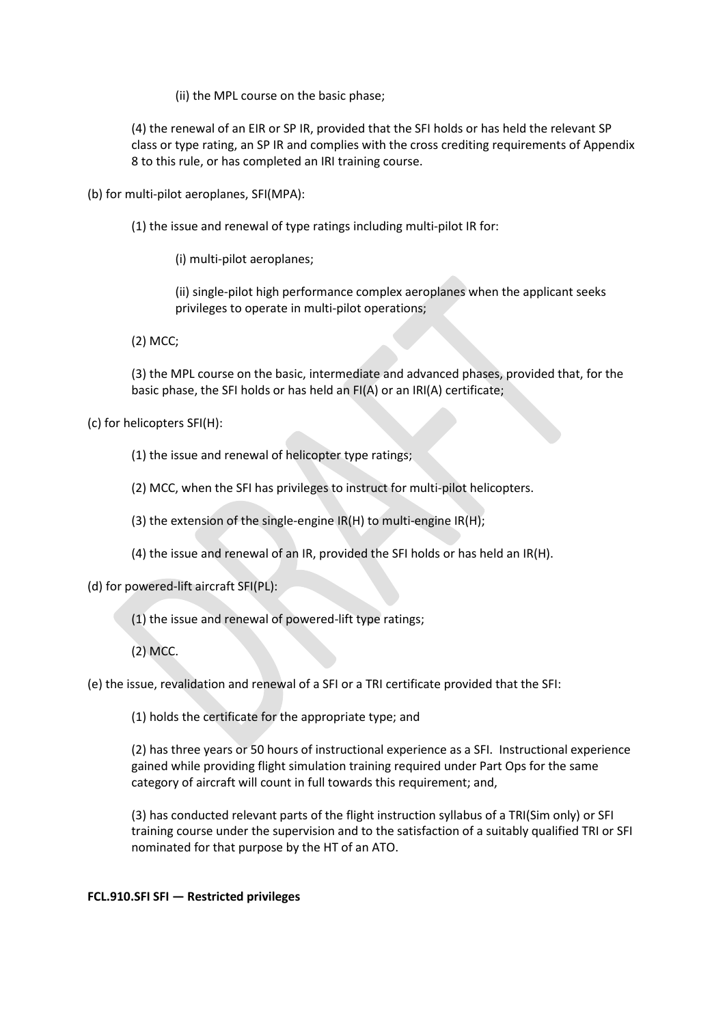(ii) the MPL course on the basic phase;

(4) the renewal of an EIR or SP IR, provided that the SFI holds or has held the relevant SP class or type rating, an SP IR and complies with the cross crediting requirements of Appendix 8 to this rule, or has completed an IRI training course.

(b) for multi-pilot aeroplanes, SFI(MPA):

(1) the issue and renewal of type ratings including multi-pilot IR for:

(i) multi-pilot aeroplanes;

(ii) single-pilot high performance complex aeroplanes when the applicant seeks privileges to operate in multi-pilot operations;

(2) MCC;

(3) the MPL course on the basic, intermediate and advanced phases, provided that, for the basic phase, the SFI holds or has held an FI(A) or an IRI(A) certificate;

(c) for helicopters SFI(H):

(1) the issue and renewal of helicopter type ratings;

(2) MCC, when the SFI has privileges to instruct for multi-pilot helicopters.

(3) the extension of the single-engine IR(H) to multi-engine IR(H);

(4) the issue and renewal of an IR, provided the SFI holds or has held an IR(H).

(d) for powered-lift aircraft SFI(PL):

(1) the issue and renewal of powered-lift type ratings;

(2) MCC.

(e) the issue, revalidation and renewal of a SFI or a TRI certificate provided that the SFI:

(1) holds the certificate for the appropriate type; and

(2) has three years or 50 hours of instructional experience as a SFI. Instructional experience gained while providing flight simulation training required under Part Ops for the same category of aircraft will count in full towards this requirement; and,

(3) has conducted relevant parts of the flight instruction syllabus of a TRI(Sim only) or SFI training course under the supervision and to the satisfaction of a suitably qualified TRI or SFI nominated for that purpose by the HT of an ATO.

### **FCL.910.SFI SFI — Restricted privileges**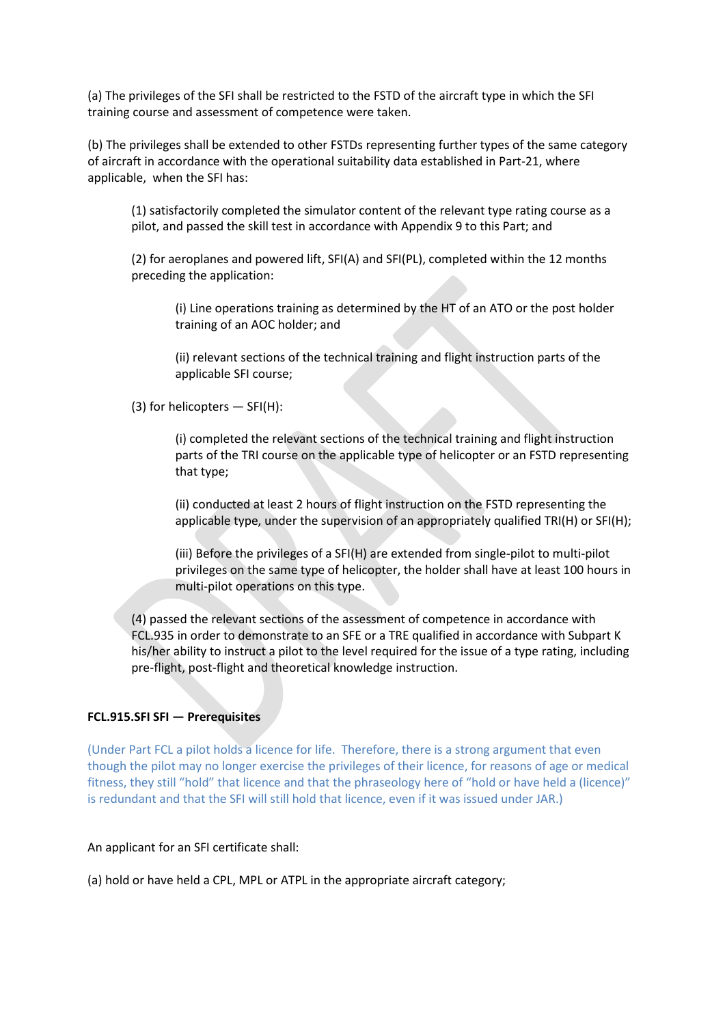(a) The privileges of the SFI shall be restricted to the FSTD of the aircraft type in which the SFI training course and assessment of competence were taken.

(b) The privileges shall be extended to other FSTDs representing further types of the same category of aircraft in accordance with the operational suitability data established in Part-21, where applicable, when the SFI has:

(1) satisfactorily completed the simulator content of the relevant type rating course as a pilot, and passed the skill test in accordance with Appendix 9 to this Part; and

(2) for aeroplanes and powered lift, SFI(A) and SFI(PL), completed within the 12 months preceding the application:

(i) Line operations training as determined by the HT of an ATO or the post holder training of an AOC holder; and

(ii) relevant sections of the technical training and flight instruction parts of the applicable SFI course;

(3) for helicopters  $-$  SFI(H):

(i) completed the relevant sections of the technical training and flight instruction parts of the TRI course on the applicable type of helicopter or an FSTD representing that type;

(ii) conducted at least 2 hours of flight instruction on the FSTD representing the applicable type, under the supervision of an appropriately qualified TRI(H) or SFI(H);

(iii) Before the privileges of a SFI(H) are extended from single-pilot to multi-pilot privileges on the same type of helicopter, the holder shall have at least 100 hours in multi-pilot operations on this type.

(4) passed the relevant sections of the assessment of competence in accordance with FCL.935 in order to demonstrate to an SFE or a TRE qualified in accordance with Subpart K his/her ability to instruct a pilot to the level required for the issue of a type rating, including pre-flight, post-flight and theoretical knowledge instruction.

#### **FCL.915.SFI SFI — Prerequisites**

(Under Part FCL a pilot holds a licence for life. Therefore, there is a strong argument that even though the pilot may no longer exercise the privileges of their licence, for reasons of age or medical fitness, they still "hold" that licence and that the phraseology here of "hold or have held a (licence)" is redundant and that the SFI will still hold that licence, even if it was issued under JAR.)

#### An applicant for an SFI certificate shall:

(a) hold or have held a CPL, MPL or ATPL in the appropriate aircraft category;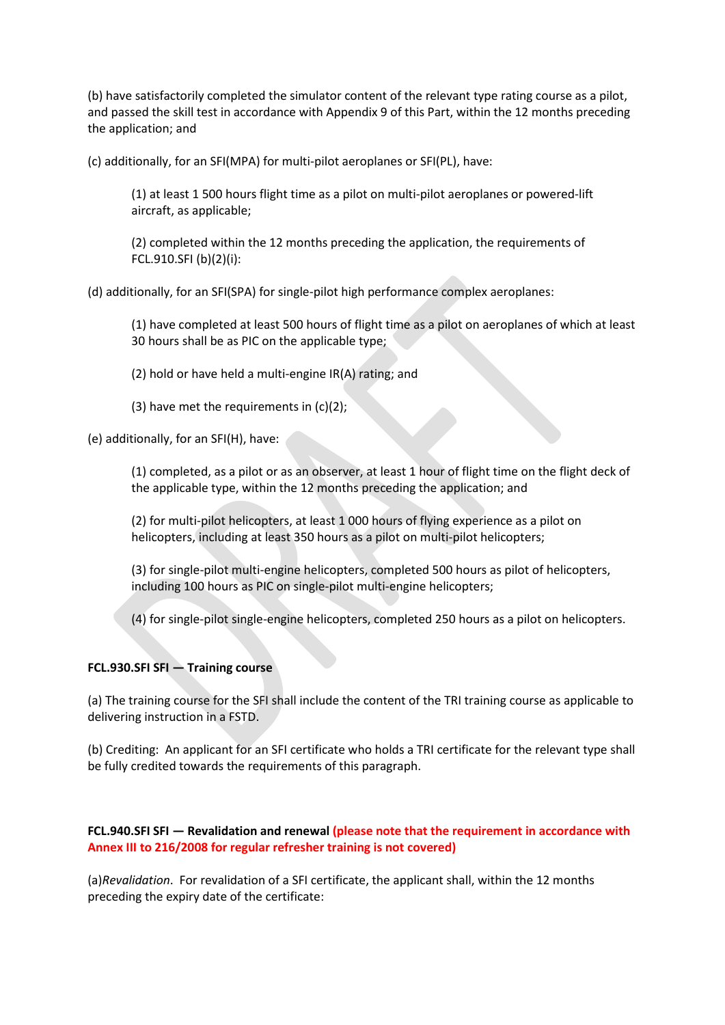(b) have satisfactorily completed the simulator content of the relevant type rating course as a pilot, and passed the skill test in accordance with Appendix 9 of this Part, within the 12 months preceding the application; and

(c) additionally, for an SFI(MPA) for multi-pilot aeroplanes or SFI(PL), have:

(1) at least 1 500 hours flight time as a pilot on multi-pilot aeroplanes or powered-lift aircraft, as applicable;

(2) completed within the 12 months preceding the application, the requirements of FCL.910.SFI (b)(2)(i):

(d) additionally, for an SFI(SPA) for single-pilot high performance complex aeroplanes:

(1) have completed at least 500 hours of flight time as a pilot on aeroplanes of which at least 30 hours shall be as PIC on the applicable type;

(2) hold or have held a multi-engine IR(A) rating; and

(3) have met the requirements in  $(c)(2)$ ;

(e) additionally, for an SFI(H), have:

(1) completed, as a pilot or as an observer, at least 1 hour of flight time on the flight deck of the applicable type, within the 12 months preceding the application; and

(2) for multi-pilot helicopters, at least 1 000 hours of flying experience as a pilot on helicopters, including at least 350 hours as a pilot on multi-pilot helicopters;

(3) for single-pilot multi-engine helicopters, completed 500 hours as pilot of helicopters, including 100 hours as PIC on single-pilot multi-engine helicopters;

(4) for single-pilot single-engine helicopters, completed 250 hours as a pilot on helicopters.

### **FCL.930.SFI SFI — Training course**

(a) The training course for the SFI shall include the content of the TRI training course as applicable to delivering instruction in a FSTD.

(b) Crediting: An applicant for an SFI certificate who holds a TRI certificate for the relevant type shall be fully credited towards the requirements of this paragraph.

### **FCL.940.SFI SFI — Revalidation and renewal (please note that the requirement in accordance with Annex III to 216/2008 for regular refresher training is not covered)**

(a)*Revalidation*. For revalidation of a SFI certificate, the applicant shall, within the 12 months preceding the expiry date of the certificate: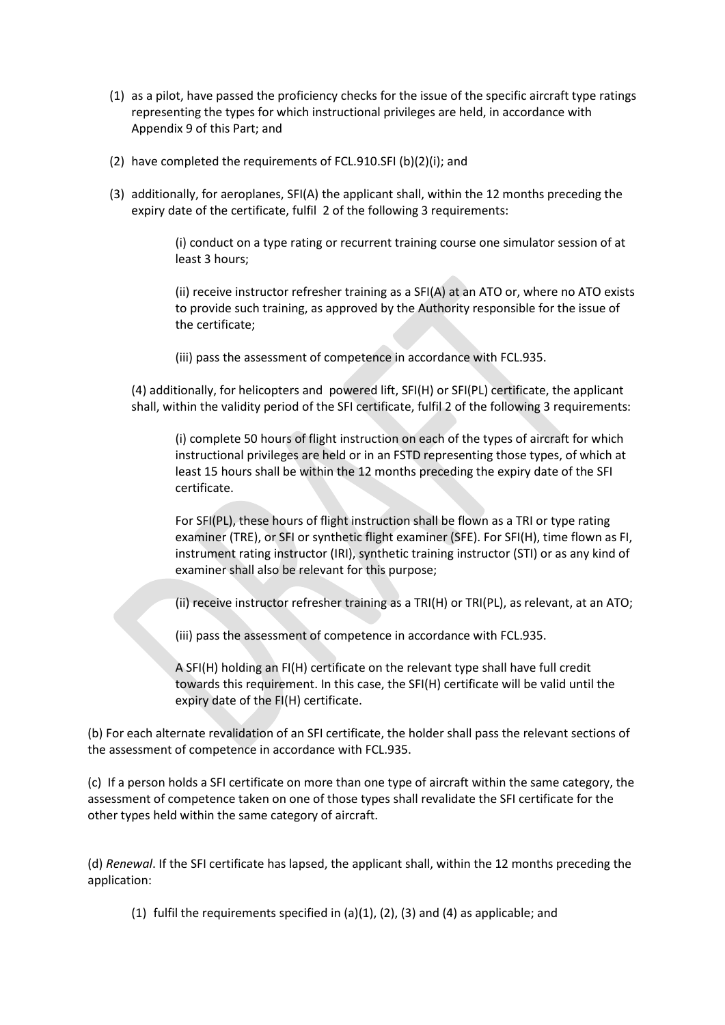- (1) as a pilot, have passed the proficiency checks for the issue of the specific aircraft type ratings representing the types for which instructional privileges are held, in accordance with Appendix 9 of this Part; and
- (2) have completed the requirements of FCL.910.SFI (b)(2)(i); and
- (3) additionally, for aeroplanes, SFI(A) the applicant shall, within the 12 months preceding the expiry date of the certificate, fulfil 2 of the following 3 requirements:

(i) conduct on a type rating or recurrent training course one simulator session of at least 3 hours;

(ii) receive instructor refresher training as a SFI(A) at an ATO or, where no ATO exists to provide such training, as approved by the Authority responsible for the issue of the certificate;

(iii) pass the assessment of competence in accordance with FCL.935.

(4) additionally, for helicopters and powered lift, SFI(H) or SFI(PL) certificate, the applicant shall, within the validity period of the SFI certificate, fulfil 2 of the following 3 requirements:

(i) complete 50 hours of flight instruction on each of the types of aircraft for which instructional privileges are held or in an FSTD representing those types, of which at least 15 hours shall be within the 12 months preceding the expiry date of the SFI certificate.

For SFI(PL), these hours of flight instruction shall be flown as a TRI or type rating examiner (TRE), or SFI or synthetic flight examiner (SFE). For SFI(H), time flown as FI, instrument rating instructor (IRI), synthetic training instructor (STI) or as any kind of examiner shall also be relevant for this purpose;

(ii) receive instructor refresher training as a TRI(H) or TRI(PL), as relevant, at an ATO;

(iii) pass the assessment of competence in accordance with FCL.935.

A SFI(H) holding an FI(H) certificate on the relevant type shall have full credit towards this requirement. In this case, the SFI(H) certificate will be valid until the expiry date of the FI(H) certificate.

(b) For each alternate revalidation of an SFI certificate, the holder shall pass the relevant sections of the assessment of competence in accordance with FCL.935.

(c) If a person holds a SFI certificate on more than one type of aircraft within the same category, the assessment of competence taken on one of those types shall revalidate the SFI certificate for the other types held within the same category of aircraft.

(d) *Renewal*. If the SFI certificate has lapsed, the applicant shall, within the 12 months preceding the application:

(1) fulfil the requirements specified in (a)(1), (2), (3) and (4) as applicable; and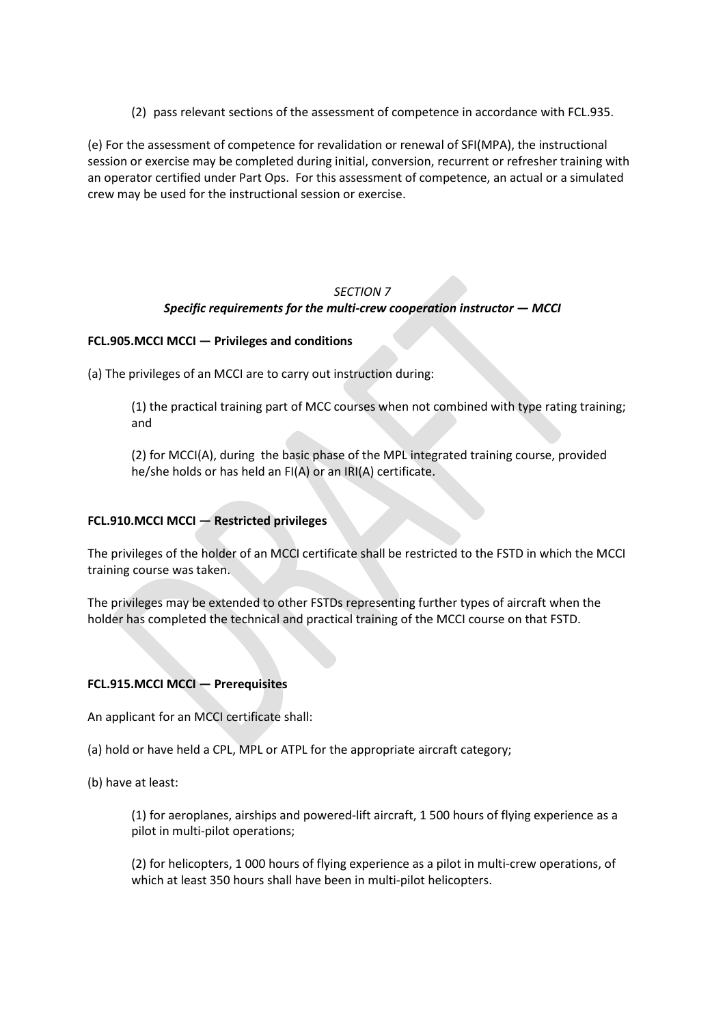(2) pass relevant sections of the assessment of competence in accordance with FCL.935.

(e) For the assessment of competence for revalidation or renewal of SFI(MPA), the instructional session or exercise may be completed during initial, conversion, recurrent or refresher training with an operator certified under Part Ops. For this assessment of competence, an actual or a simulated crew may be used for the instructional session or exercise.

# *SECTION 7 Specific requirements for the multi-crew cooperation instructor — MCCI*

# **FCL.905.MCCI MCCI — Privileges and conditions**

(a) The privileges of an MCCI are to carry out instruction during:

(1) the practical training part of MCC courses when not combined with type rating training; and

(2) for MCCI(A), during the basic phase of the MPL integrated training course, provided he/she holds or has held an FI(A) or an IRI(A) certificate.

### **FCL.910.MCCI MCCI — Restricted privileges**

The privileges of the holder of an MCCI certificate shall be restricted to the FSTD in which the MCCI training course was taken.

The privileges may be extended to other FSTDs representing further types of aircraft when the holder has completed the technical and practical training of the MCCI course on that FSTD.

### **FCL.915.MCCI MCCI — Prerequisites**

An applicant for an MCCI certificate shall:

(a) hold or have held a CPL, MPL or ATPL for the appropriate aircraft category;

(b) have at least:

(1) for aeroplanes, airships and powered-lift aircraft, 1 500 hours of flying experience as a pilot in multi-pilot operations;

(2) for helicopters, 1 000 hours of flying experience as a pilot in multi-crew operations, of which at least 350 hours shall have been in multi-pilot helicopters.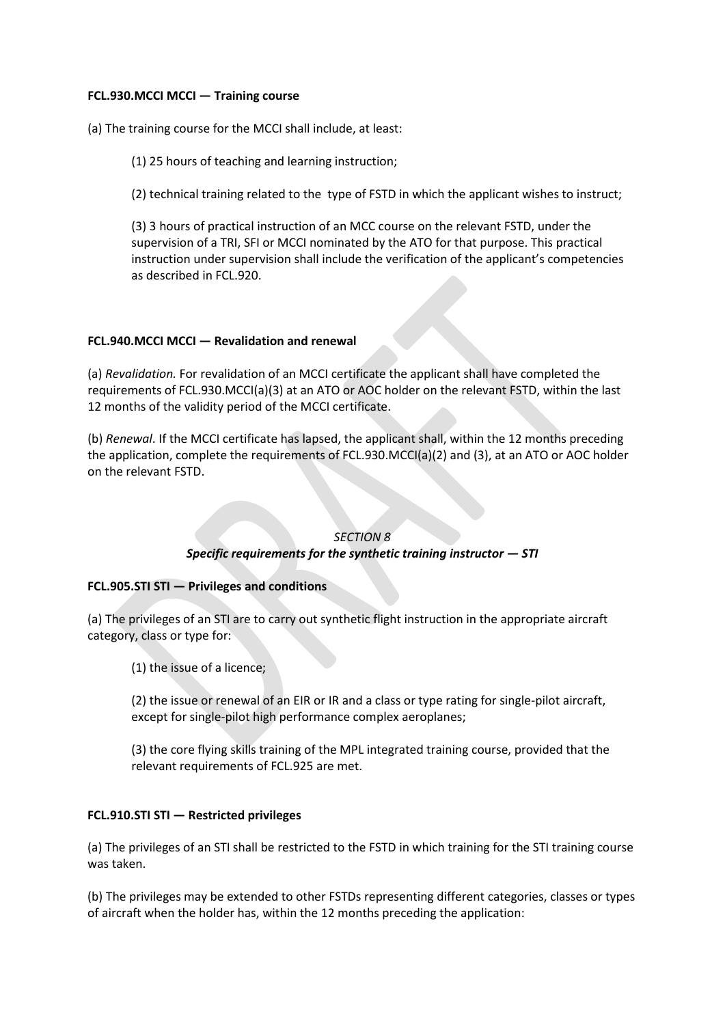#### **FCL.930.MCCI MCCI — Training course**

(a) The training course for the MCCI shall include, at least:

(1) 25 hours of teaching and learning instruction;

(2) technical training related to the type of FSTD in which the applicant wishes to instruct;

(3) 3 hours of practical instruction of an MCC course on the relevant FSTD, under the supervision of a TRI, SFI or MCCI nominated by the ATO for that purpose. This practical instruction under supervision shall include the verification of the applicant's competencies as described in FCL.920.

# **FCL.940.MCCI MCCI — Revalidation and renewal**

(a) *Revalidation.* For revalidation of an MCCI certificate the applicant shall have completed the requirements of FCL.930.MCCI(a)(3) at an ATO or AOC holder on the relevant FSTD, within the last 12 months of the validity period of the MCCI certificate.

(b) *Renewal*. If the MCCI certificate has lapsed, the applicant shall, within the 12 months preceding the application, complete the requirements of FCL.930.MCCI(a)(2) and (3), at an ATO or AOC holder on the relevant FSTD.

### *SECTION 8*

### *Specific requirements for the synthetic training instructor — STI*

### **FCL.905.STI STI — Privileges and conditions**

(a) The privileges of an STI are to carry out synthetic flight instruction in the appropriate aircraft category, class or type for:

(1) the issue of a licence;

(2) the issue or renewal of an EIR or IR and a class or type rating for single-pilot aircraft, except for single-pilot high performance complex aeroplanes;

(3) the core flying skills training of the MPL integrated training course, provided that the relevant requirements of FCL.925 are met.

### **FCL.910.STI STI — Restricted privileges**

(a) The privileges of an STI shall be restricted to the FSTD in which training for the STI training course was taken.

(b) The privileges may be extended to other FSTDs representing different categories, classes or types of aircraft when the holder has, within the 12 months preceding the application: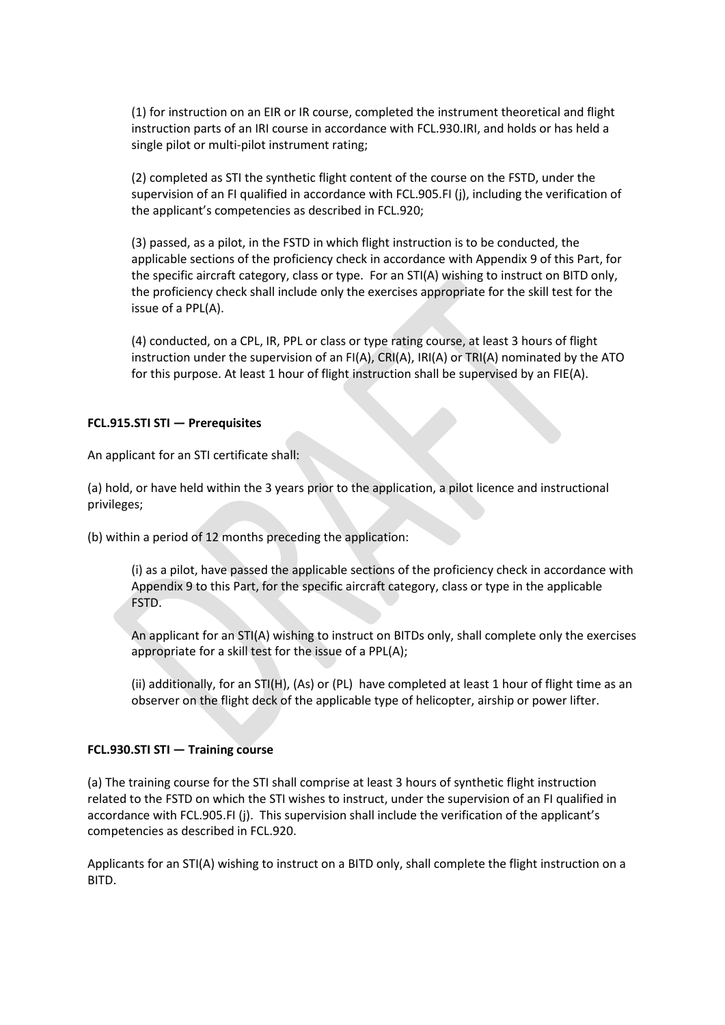(1) for instruction on an EIR or IR course, completed the instrument theoretical and flight instruction parts of an IRI course in accordance with FCL.930.IRI, and holds or has held a single pilot or multi-pilot instrument rating;

(2) completed as STI the synthetic flight content of the course on the FSTD, under the supervision of an FI qualified in accordance with FCL.905.FI (j), including the verification of the applicant's competencies as described in FCL.920;

(3) passed, as a pilot, in the FSTD in which flight instruction is to be conducted, the applicable sections of the proficiency check in accordance with Appendix 9 of this Part, for the specific aircraft category, class or type. For an STI(A) wishing to instruct on BITD only, the proficiency check shall include only the exercises appropriate for the skill test for the issue of a PPL(A).

(4) conducted, on a CPL, IR, PPL or class or type rating course, at least 3 hours of flight instruction under the supervision of an FI(A), CRI(A), IRI(A) or TRI(A) nominated by the ATO for this purpose. At least 1 hour of flight instruction shall be supervised by an FIE(A).

### **FCL.915.STI STI — Prerequisites**

An applicant for an STI certificate shall:

(a) hold, or have held within the 3 years prior to the application, a pilot licence and instructional privileges;

(b) within a period of 12 months preceding the application:

(i) as a pilot, have passed the applicable sections of the proficiency check in accordance with Appendix 9 to this Part, for the specific aircraft category, class or type in the applicable FSTD.

An applicant for an STI(A) wishing to instruct on BITDs only, shall complete only the exercises appropriate for a skill test for the issue of a PPL(A);

(ii) additionally, for an STI(H), (As) or (PL) have completed at least 1 hour of flight time as an observer on the flight deck of the applicable type of helicopter, airship or power lifter.

### **FCL.930.STI STI — Training course**

(a) The training course for the STI shall comprise at least 3 hours of synthetic flight instruction related to the FSTD on which the STI wishes to instruct, under the supervision of an FI qualified in accordance with FCL.905.FI (j). This supervision shall include the verification of the applicant's competencies as described in FCL.920.

Applicants for an STI(A) wishing to instruct on a BITD only, shall complete the flight instruction on a BITD.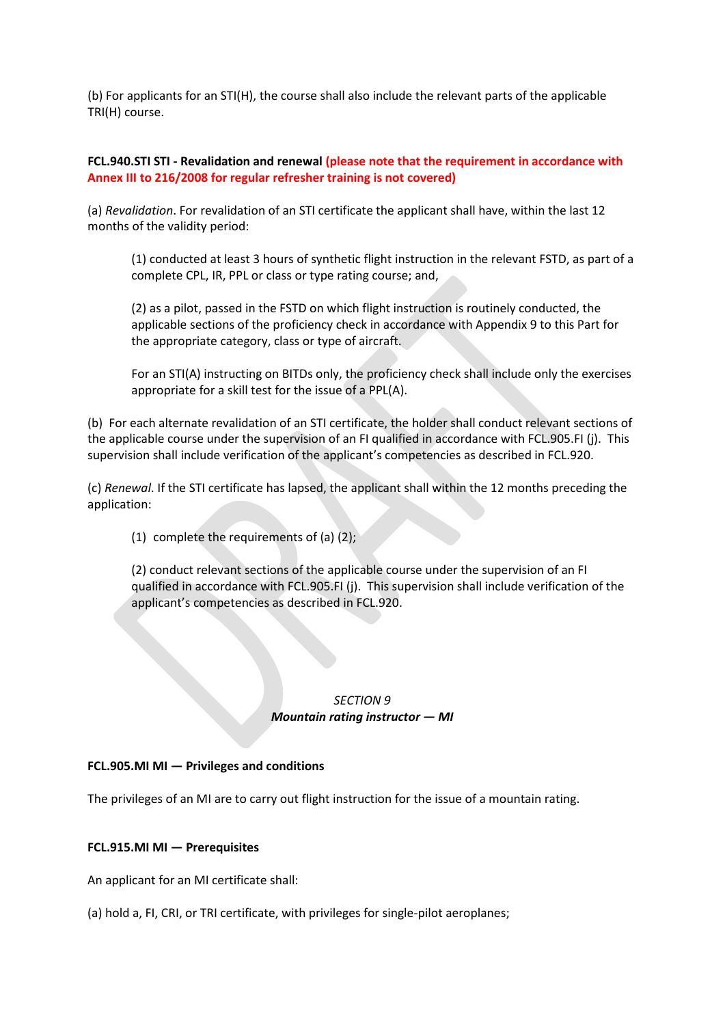(b) For applicants for an STI(H), the course shall also include the relevant parts of the applicable TRI(H) course.

## **FCL.940.STI STI - Revalidation and renewal (please note that the requirement in accordance with Annex III to 216/2008 for regular refresher training is not covered)**

(a) *Revalidation*. For revalidation of an STI certificate the applicant shall have, within the last 12 months of the validity period:

(1) conducted at least 3 hours of synthetic flight instruction in the relevant FSTD, as part of a complete CPL, IR, PPL or class or type rating course; and,

(2) as a pilot, passed in the FSTD on which flight instruction is routinely conducted, the applicable sections of the proficiency check in accordance with Appendix 9 to this Part for the appropriate category, class or type of aircraft.

For an STI(A) instructing on BITDs only, the proficiency check shall include only the exercises appropriate for a skill test for the issue of a PPL(A).

(b) For each alternate revalidation of an STI certificate, the holder shall conduct relevant sections of the applicable course under the supervision of an FI qualified in accordance with FCL.905.FI (j). This supervision shall include verification of the applicant's competencies as described in FCL.920.

(c) *Renewal*. If the STI certificate has lapsed, the applicant shall within the 12 months preceding the application:

(1) complete the requirements of (a) (2);

(2) conduct relevant sections of the applicable course under the supervision of an FI qualified in accordance with FCL.905.FI (j). This supervision shall include verification of the applicant's competencies as described in FCL.920.

### *SECTION 9 Mountain rating instructor — MI*

### **FCL.905.MI MI — Privileges and conditions**

The privileges of an MI are to carry out flight instruction for the issue of a mountain rating.

#### **FCL.915.MI MI — Prerequisites**

An applicant for an MI certificate shall:

(a) hold a, FI, CRI, or TRI certificate, with privileges for single-pilot aeroplanes;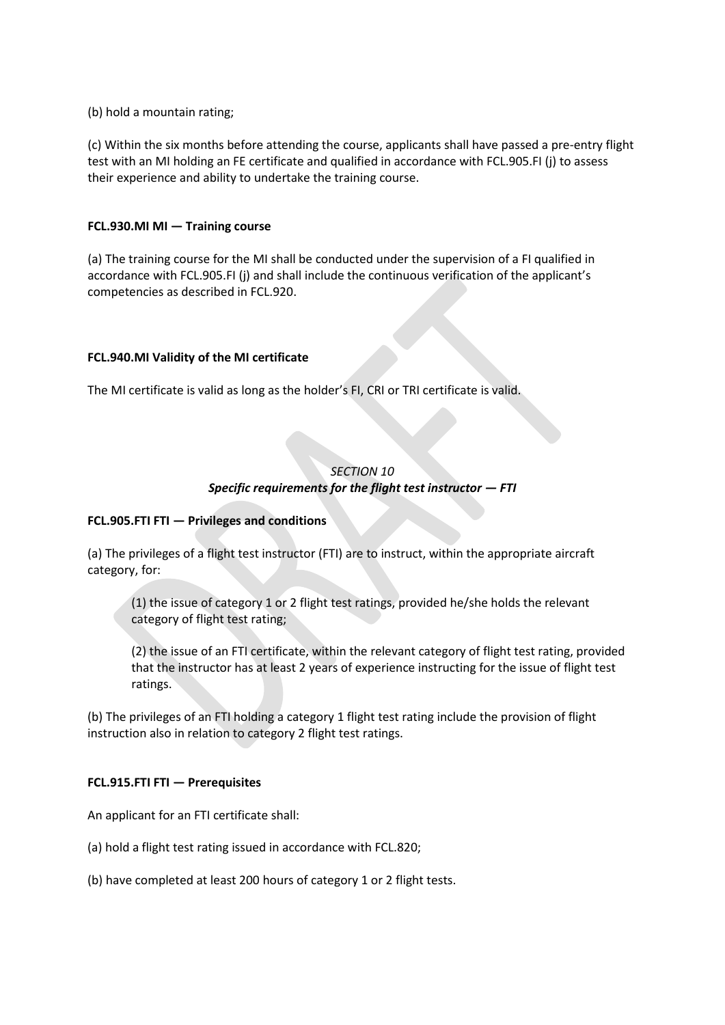(b) hold a mountain rating;

(c) Within the six months before attending the course, applicants shall have passed a pre-entry flight test with an MI holding an FE certificate and qualified in accordance with FCL.905.FI (j) to assess their experience and ability to undertake the training course.

## **FCL.930.MI MI — Training course**

(a) The training course for the MI shall be conducted under the supervision of a FI qualified in accordance with FCL.905.FI (j) and shall include the continuous verification of the applicant's competencies as described in FCL.920.

# **FCL.940.MI Validity of the MI certificate**

The MI certificate is valid as long as the holder's FI, CRI or TRI certificate is valid.

# *SECTION 10 Specific requirements for the flight test instructor — FTI*

### **FCL.905.FTI FTI — Privileges and conditions**

(a) The privileges of a flight test instructor (FTI) are to instruct, within the appropriate aircraft category, for:

(1) the issue of category 1 or 2 flight test ratings, provided he/she holds the relevant category of flight test rating;

(2) the issue of an FTI certificate, within the relevant category of flight test rating, provided that the instructor has at least 2 years of experience instructing for the issue of flight test ratings.

(b) The privileges of an FTI holding a category 1 flight test rating include the provision of flight instruction also in relation to category 2 flight test ratings.

### **FCL.915.FTI FTI — Prerequisites**

An applicant for an FTI certificate shall:

- (a) hold a flight test rating issued in accordance with FCL.820;
- (b) have completed at least 200 hours of category 1 or 2 flight tests.